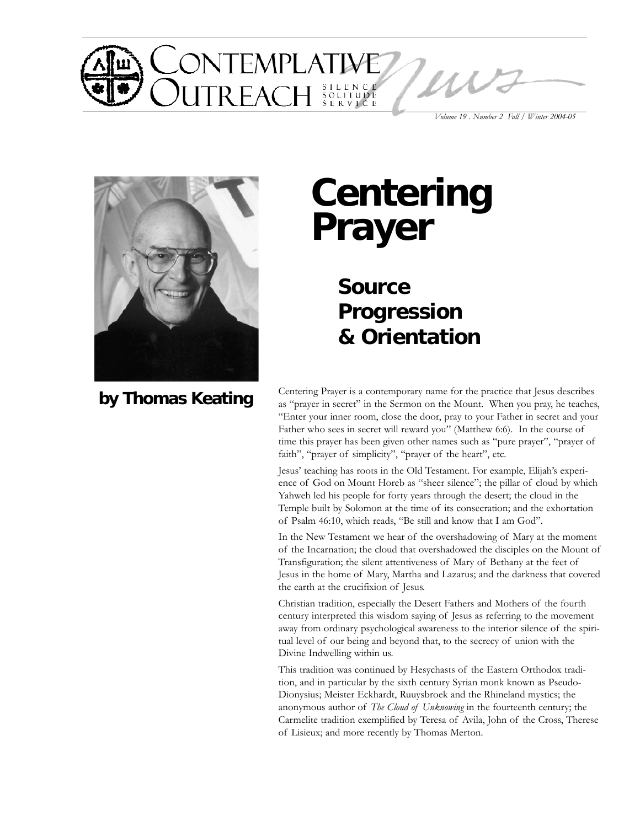

*Volume 19 . Number 2 Fall / Winter 2004-05*



**by Thomas Keating**

# **Centering Prayer**

**Source Progression & Orientation**

Centering Prayer is a contemporary name for the practice that Jesus describes as "prayer in secret" in the Sermon on the Mount. When you pray, he teaches, "Enter your inner room, close the door, pray to your Father in secret and your Father who sees in secret will reward you" (Matthew 6:6). In the course of time this prayer has been given other names such as "pure prayer", "prayer of faith", "prayer of simplicity", "prayer of the heart", etc.

Jesus' teaching has roots in the Old Testament. For example, Elijah's experience of God on Mount Horeb as "sheer silence"; the pillar of cloud by which Yahweh led his people for forty years through the desert; the cloud in the Temple built by Solomon at the time of its consecration; and the exhortation of Psalm 46:10, which reads, "Be still and know that I am God".

In the New Testament we hear of the overshadowing of Mary at the moment of the Incarnation; the cloud that overshadowed the disciples on the Mount of Transfiguration; the silent attentiveness of Mary of Bethany at the feet of Jesus in the home of Mary, Martha and Lazarus; and the darkness that covered the earth at the crucifixion of Jesus.

Christian tradition, especially the Desert Fathers and Mothers of the fourth century interpreted this wisdom saying of Jesus as referring to the movement away from ordinary psychological awareness to the interior silence of the spiritual level of our being and beyond that, to the secrecy of union with the Divine Indwelling within us.

This tradition was continued by Hesychasts of the Eastern Orthodox tradition, and in particular by the sixth century Syrian monk known as Pseudo-Dionysius; Meister Eckhardt, Ruuysbroek and the Rhineland mystics; the anonymous author of *The Cloud of Unknowing* in the fourteenth century; the Carmelite tradition exemplified by Teresa of Avila, John of the Cross, Therese of Lisieux; and more recently by Thomas Merton.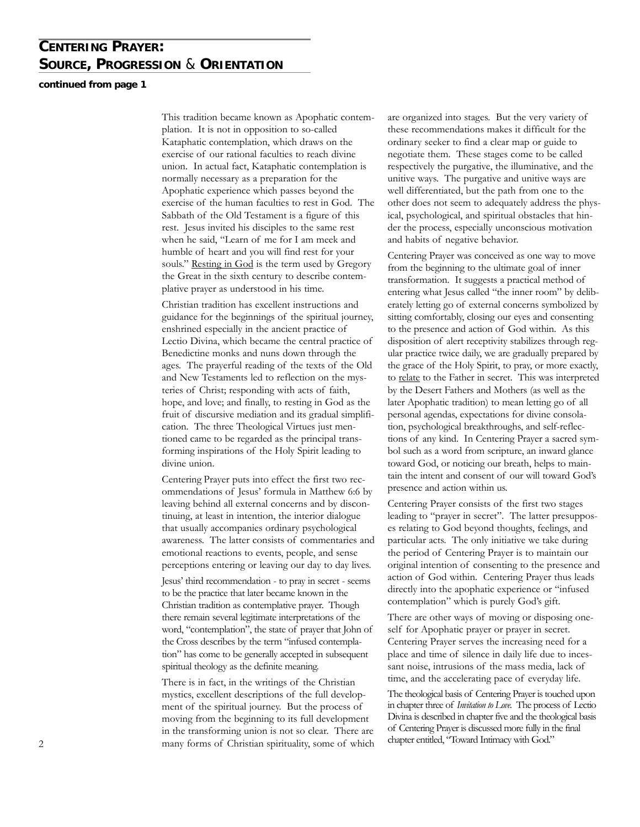### **CENTERING PRAYER: SOURCE, PROGRESSION** & **ORIENTATION**

#### **continued from page 1**

This tradition became known as Apophatic contemplation. It is not in opposition to so-called Kataphatic contemplation, which draws on the exercise of our rational faculties to reach divine union. In actual fact, Kataphatic contemplation is normally necessary as a preparation for the Apophatic experience which passes beyond the exercise of the human faculties to rest in God. The Sabbath of the Old Testament is a figure of this rest. Jesus invited his disciples to the same rest when he said, "Learn of me for I am meek and humble of heart and you will find rest for your souls." Resting in God is the term used by Gregory the Great in the sixth century to describe contemplative prayer as understood in his time.

Christian tradition has excellent instructions and guidance for the beginnings of the spiritual journey, enshrined especially in the ancient practice of Lectio Divina, which became the central practice of Benedictine monks and nuns down through the ages. The prayerful reading of the texts of the Old and New Testaments led to reflection on the mysteries of Christ; responding with acts of faith, hope, and love; and finally, to resting in God as the fruit of discursive mediation and its gradual simplification. The three Theological Virtues just mentioned came to be regarded as the principal transforming inspirations of the Holy Spirit leading to divine union.

Centering Prayer puts into effect the first two recommendations of Jesus' formula in Matthew 6:6 by leaving behind all external concerns and by discontinuing, at least in intention, the interior dialogue that usually accompanies ordinary psychological awareness. The latter consists of commentaries and emotional reactions to events, people, and sense perceptions entering or leaving our day to day lives.

Jesus' third recommendation - to pray in secret - seems to be the practice that later became known in the Christian tradition as contemplative prayer. Though there remain several legitimate interpretations of the word, "contemplation", the state of prayer that John of the Cross describes by the term "infused contemplation" has come to be generally accepted in subsequent spiritual theology as the definite meaning.

There is in fact, in the writings of the Christian mystics, excellent descriptions of the full development of the spiritual journey. But the process of moving from the beginning to its full development in the transforming union is not so clear. There are 2 many forms of Christian spirituality, some of which chapter entitled, "Toward Intimacy with God."

are organized into stages. But the very variety of these recommendations makes it difficult for the ordinary seeker to find a clear map or guide to negotiate them. These stages come to be called respectively the purgative, the illuminative, and the unitive ways. The purgative and unitive ways are well differentiated, but the path from one to the other does not seem to adequately address the physical, psychological, and spiritual obstacles that hinder the process, especially unconscious motivation and habits of negative behavior.

Centering Prayer was conceived as one way to move from the beginning to the ultimate goal of inner transformation. It suggests a practical method of entering what Jesus called "the inner room" by deliberately letting go of external concerns symbolized by sitting comfortably, closing our eyes and consenting to the presence and action of God within. As this disposition of alert receptivity stabilizes through regular practice twice daily, we are gradually prepared by the grace of the Holy Spirit, to pray, or more exactly, to relate to the Father in secret. This was interpreted by the Desert Fathers and Mothers (as well as the later Apophatic tradition) to mean letting go of all personal agendas, expectations for divine consolation, psychological breakthroughs, and self-reflections of any kind. In Centering Prayer a sacred symbol such as a word from scripture, an inward glance toward God, or noticing our breath, helps to maintain the intent and consent of our will toward God's presence and action within us.

Centering Prayer consists of the first two stages leading to "prayer in secret". The latter presupposes relating to God beyond thoughts, feelings, and particular acts. The only initiative we take during the period of Centering Prayer is to maintain our original intention of consenting to the presence and action of God within. Centering Prayer thus leads directly into the apophatic experience or "infused contemplation" which is purely God's gift.

There are other ways of moving or disposing oneself for Apophatic prayer or prayer in secret. Centering Prayer serves the increasing need for a place and time of silence in daily life due to incessant noise, intrusions of the mass media, lack of time, and the accelerating pace of everyday life.

The theological basis of Centering Prayer is touched upon in chapter three of *Invitation to Love.* The process of Lectio Divina is described in chapter five and the theological basis of Centering Prayer is discussed more fully in the final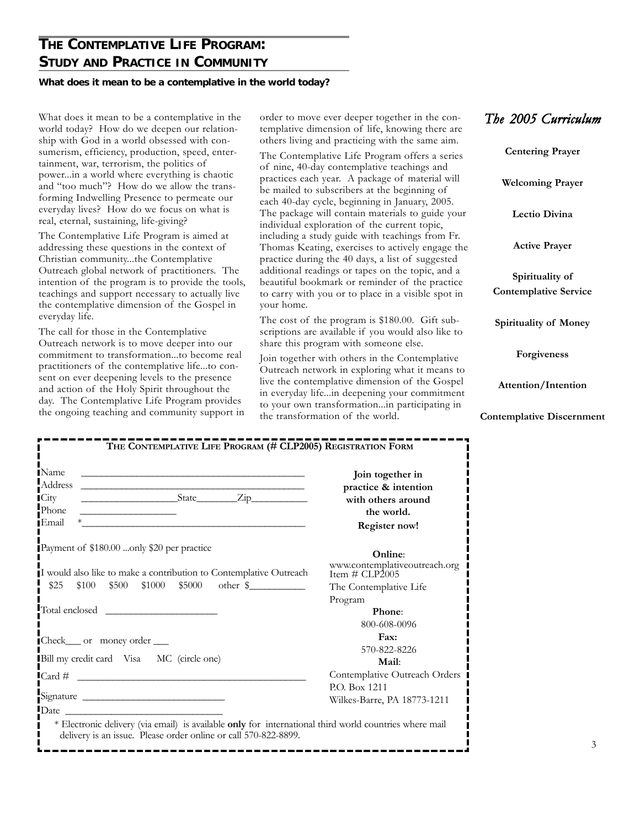### **THE CONTEMPLATIVE LIFE PROGRAM: STUDY AND PRACTICE IN COMMUNITY**

#### **What does it mean to be a contemplative in the world today?**

What does it mean to be a contemplative in the world today? How do we deepen our relationship with God in a world obsessed with consumerism, efficiency, production, speed, entertainment, war, terrorism, the politics of power...in a world where everything is chaotic and "too much"? How do we allow the transforming Indwelling Presence to permeate our everyday lives? How do we focus on what is real, eternal, sustaining, life-giving?

The Contemplative Life Program is aimed at addressing these questions in the context of Christian community...the Contemplative Outreach global network of practitioners. The intention of the program is to provide the tools, teachings and support necessary to actually live the contemplative dimension of the Gospel in everyday life.

The call for those in the Contemplative Outreach network is to move deeper into our commitment to transformation...to become real practitioners of the contemplative life...to consent on ever deepening levels to the presence and action of the Holy Spirit throughout the day. The Contemplative Life Program provides the ongoing teaching and community support in order to move ever deeper together in the contemplative dimension of life, knowing there are others living and practicing with the same aim.

The Contemplative Life Program offers a series of nine, 40-day contemplative teachings and practices each year. A package of material will be mailed to subscribers at the beginning of each 40-day cycle, beginning in January, 2005. The package will contain materials to guide your individual exploration of the current topic, including a study guide with teachings from Fr. Thomas Keating, exercises to actively engage the practice during the 40 days, a list of suggested additional readings or tapes on the topic, and a beautiful bookmark or reminder of the practice to carry with you or to place in a visible spot in your home.

The cost of the program is \$180.00. Gift subscriptions are available if you would also like to share this program with someone else.

Join together with others in the Contemplative Outreach network in exploring what it means to live the contemplative dimension of the Gospel in everyday life...in deepening your commitment to your own transformation...in participating in the transformation of the world.

|  |  | The 2005 Curriculum |  |
|--|--|---------------------|--|
|--|--|---------------------|--|

**Centering Prayer Welcoming Prayer Lectio Divina Active Prayer Spirituality of Contemplative Service Spirituality of Money Forgiveness Attention/Intention Contemplative Discernment**

| <b>IName</b><br>and the control of the control of the control of the control of the control of the control of the control of the<br>Address<br><u> 1999 - Johann Barbara, martin amerikan basar dan berasal dalam basa dan basar dalam basa dalam basa dalam bas</u> | Join together in<br>practice & intention        |
|----------------------------------------------------------------------------------------------------------------------------------------------------------------------------------------------------------------------------------------------------------------------|-------------------------------------------------|
| $State$ $Zip$<br><b>City</b>                                                                                                                                                                                                                                         | with others around                              |
| Phone<br>the contract of the contract of the contract of the contract of                                                                                                                                                                                             | the world.                                      |
| ∎Email                                                                                                                                                                                                                                                               | Register now!                                   |
| Payment of \$180.00 only \$20 per practice                                                                                                                                                                                                                           | Online:                                         |
| I would also like to make a contribution to Contemplative Outreach                                                                                                                                                                                                   | www.contemplativeoutreach.org<br>Item # CLP2005 |
| \$25<br>$$100$ $$500$ $$1000$ $$5000$ other \$                                                                                                                                                                                                                       | The Contemplative Life                          |
|                                                                                                                                                                                                                                                                      | Program                                         |
| Total enclosed                                                                                                                                                                                                                                                       | Phone:                                          |
|                                                                                                                                                                                                                                                                      | 800-608-0096                                    |
| Check___ or money order ___                                                                                                                                                                                                                                          | Fax:                                            |
|                                                                                                                                                                                                                                                                      | 570-822-8226                                    |
| Bill my credit card Visa MC (circle one)                                                                                                                                                                                                                             | Mail:                                           |
| $\text{Card } \#$                                                                                                                                                                                                                                                    | Contemplative Outreach Orders                   |
|                                                                                                                                                                                                                                                                      | P.O. Box 1211                                   |
|                                                                                                                                                                                                                                                                      | Wilkes-Barre, PA 18773-1211                     |
|                                                                                                                                                                                                                                                                      |                                                 |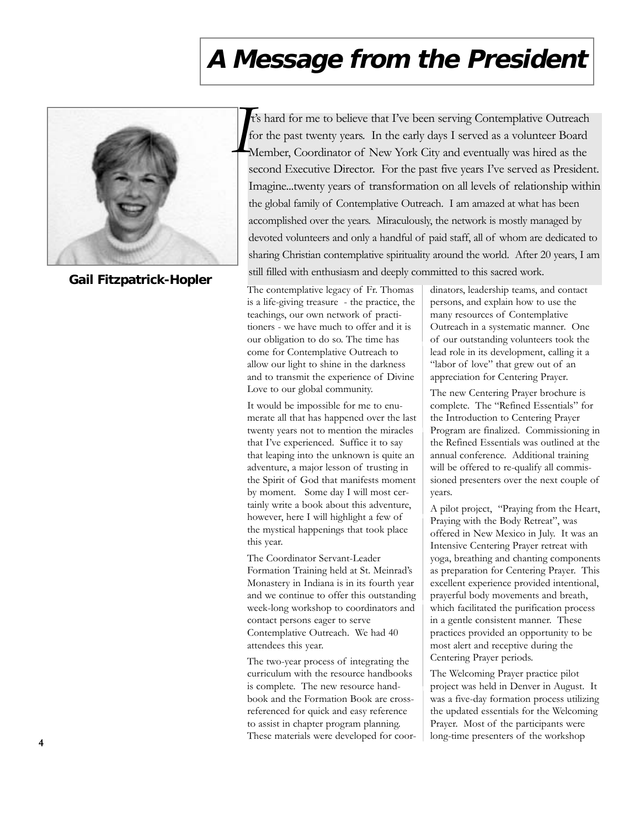# **A Message from the President**



**Gail Fitzpatrick-Hopler**

t's hard for me to believe that I've been serving Contemplative Outreach . for the past twenty years. In the early days I served as a volunteer Board Member, Coordinator of New York City and eventually was hired as the second Executive Director. For the past five years I've served as President. Imagine...twenty years of transformation on all levels of relationship within the global family of Contemplative Outreach. I am amazed at what has been accomplished over the years. Miraculously, the network is mostly managed by devoted volunteers and only a handful of paid staff, all of whom are dedicated to sharing Christian contemplative spirituality around the world. After 20 years, I am still filled with enthusiasm and deeply committed to this sacred work.

The contemplative legacy of Fr. Thomas is a life-giving treasure - the practice, the teachings, our own network of practitioners - we have much to offer and it is our obligation to do so. The time has come for Contemplative Outreach to allow our light to shine in the darkness and to transmit the experience of Divine Love to our global community.

It would be impossible for me to enumerate all that has happened over the last twenty years not to mention the miracles that I've experienced. Suffice it to say that leaping into the unknown is quite an adventure, a major lesson of trusting in the Spirit of God that manifests moment by moment. Some day I will most certainly write a book about this adventure, however, here I will highlight a few of the mystical happenings that took place this year.

The Coordinator Servant-Leader Formation Training held at St. Meinrad's Monastery in Indiana is in its fourth year and we continue to offer this outstanding week-long workshop to coordinators and contact persons eager to serve Contemplative Outreach. We had 40 attendees this year.

The two-year process of integrating the curriculum with the resource handbooks is complete. The new resource handbook and the Formation Book are crossreferenced for quick and easy reference to assist in chapter program planning. These materials were developed for coordinators, leadership teams, and contact persons, and explain how to use the many resources of Contemplative Outreach in a systematic manner. One of our outstanding volunteers took the lead role in its development, calling it a "labor of love" that grew out of an appreciation for Centering Prayer.

The new Centering Prayer brochure is complete. The "Refined Essentials" for the Introduction to Centering Prayer Program are finalized. Commissioning in the Refined Essentials was outlined at the annual conference. Additional training will be offered to re-qualify all commissioned presenters over the next couple of years.

A pilot project, "Praying from the Heart, Praying with the Body Retreat", was offered in New Mexico in July. It was an Intensive Centering Prayer retreat with yoga, breathing and chanting components as preparation for Centering Prayer. This excellent experience provided intentional, prayerful body movements and breath, which facilitated the purification process in a gentle consistent manner. These practices provided an opportunity to be most alert and receptive during the Centering Prayer periods.

The Welcoming Prayer practice pilot project was held in Denver in August. It was a five-day formation process utilizing the updated essentials for the Welcoming Prayer. Most of the participants were long-time presenters of the workshop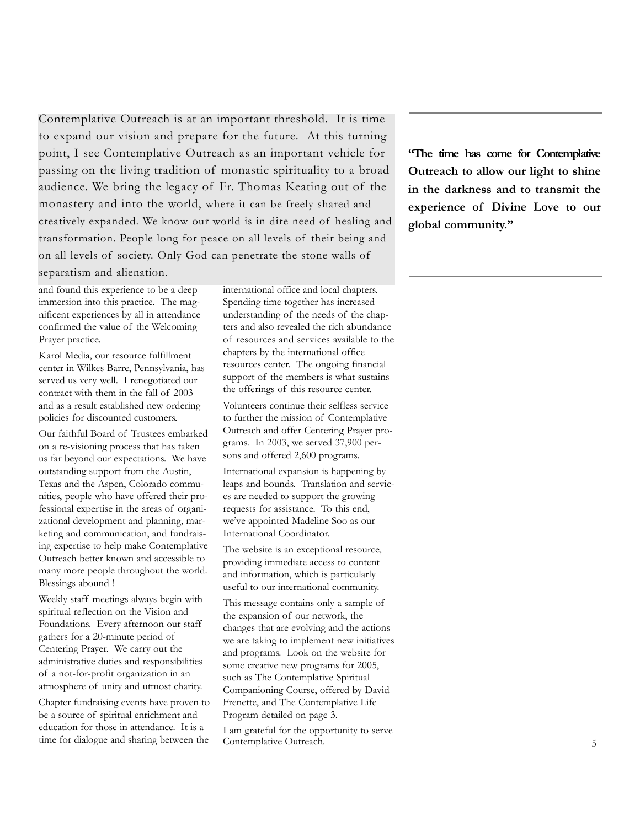Contemplative Outreach is at an important threshold. It is time to expand our vision and prepare for the future. At this turning point, I see Contemplative Outreach as an important vehicle for passing on the living tradition of monastic spirituality to a broad audience. We bring the legacy of Fr. Thomas Keating out of the monastery and into the world, where it can be freely shared and creatively expanded. We know our world is in dire need of healing and transformation. People long for peace on all levels of their being and on all levels of society. Only God can penetrate the stone walls of separatism and alienation.

and found this experience to be a deep immersion into this practice. The magnificent experiences by all in attendance confirmed the value of the Welcoming Prayer practice.

Karol Media, our resource fulfillment center in Wilkes Barre, Pennsylvania, has served us very well. I renegotiated our contract with them in the fall of 2003 and as a result established new ordering policies for discounted customers.

Our faithful Board of Trustees embarked on a re-visioning process that has taken us far beyond our expectations. We have outstanding support from the Austin, Texas and the Aspen, Colorado communities, people who have offered their professional expertise in the areas of organizational development and planning, marketing and communication, and fundraising expertise to help make Contemplative Outreach better known and accessible to many more people throughout the world. Blessings abound !

Weekly staff meetings always begin with spiritual reflection on the Vision and Foundations. Every afternoon our staff gathers for a 20-minute period of Centering Prayer. We carry out the administrative duties and responsibilities of a not-for-profit organization in an atmosphere of unity and utmost charity.

Chapter fundraising events have proven to be a source of spiritual enrichment and education for those in attendance. It is a time for dialogue and sharing between the international office and local chapters. Spending time together has increased understanding of the needs of the chapters and also revealed the rich abundance of resources and services available to the chapters by the international office resources center. The ongoing financial support of the members is what sustains the offerings of this resource center.

Volunteers continue their selfless service to further the mission of Contemplative Outreach and offer Centering Prayer programs. In 2003, we served 37,900 persons and offered 2,600 programs.

International expansion is happening by leaps and bounds. Translation and services are needed to support the growing requests for assistance. To this end, we've appointed Madeline Soo as our International Coordinator.

The website is an exceptional resource, providing immediate access to content and information, which is particularly useful to our international community.

This message contains only a sample of the expansion of our network, the changes that are evolving and the actions we are taking to implement new initiatives and programs. Look on the website for some creative new programs for 2005, such as The Contemplative Spiritual Companioning Course, offered by David Frenette, and The Contemplative Life Program detailed on page 3.

I am grateful for the opportunity to serve Contemplative Outreach.

**"The time has come for Contemplative Outreach to allow our light to shine in the darkness and to transmit the experience of Divine Love to our global community."**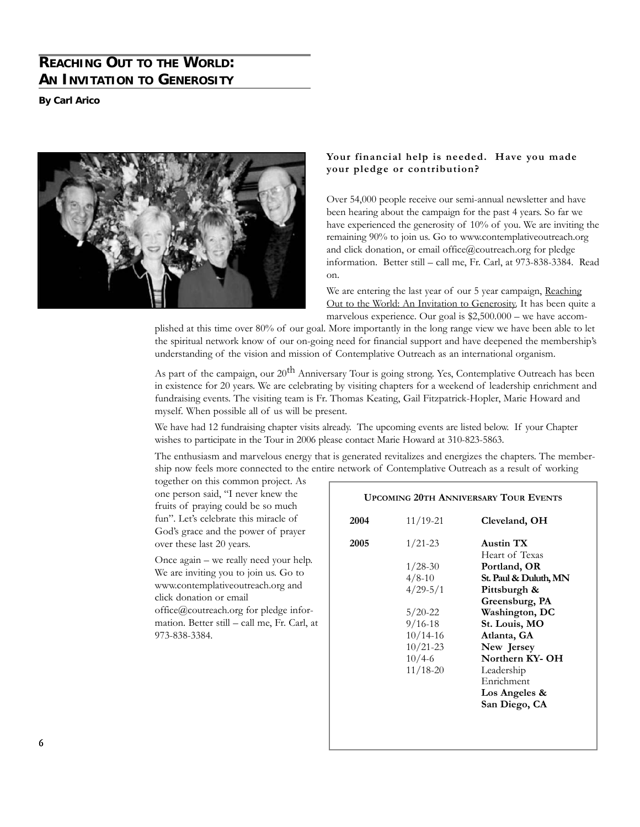### **REACHING OUT TO THE WORLD: AN INVITATION TO GENEROSITY**

**By Carl Arico**



#### **Your financial help is needed. Have you made your pledge or contribution?**

Over 54,000 people receive our semi-annual newsletter and have been hearing about the campaign for the past 4 years. So far we have experienced the generosity of 10% of you. We are inviting the remaining 90% to join us. Go to www.contemplativeoutreach.org and click donation, or email office@coutreach.org for pledge information. Better still – call me, Fr. Carl, at 973-838-3384. Read on.

We are entering the last year of our 5 year campaign, Reaching Out to the World: An Invitation to Generosity. It has been quite a marvelous experience. Our goal is \$2,500.000 – we have accom-

plished at this time over 80% of our goal. More importantly in the long range view we have been able to let the spiritual network know of our on-going need for financial support and have deepened the membership's understanding of the vision and mission of Contemplative Outreach as an international organism.

As part of the campaign, our 20<sup>th</sup> Anniversary Tour is going strong. Yes, Contemplative Outreach has been in existence for 20 years. We are celebrating by visiting chapters for a weekend of leadership enrichment and fundraising events. The visiting team is Fr. Thomas Keating, Gail Fitzpatrick-Hopler, Marie Howard and myself. When possible all of us will be present.

We have had 12 fundraising chapter visits already. The upcoming events are listed below. If your Chapter wishes to participate in the Tour in 2006 please contact Marie Howard at 310-823-5863.

The enthusiasm and marvelous energy that is generated revitalizes and energizes the chapters. The membership now feels more connected to the entire network of Contemplative Outreach as a result of working

together on this common project. As one person said, "I never knew the fruits of praying could be so much fun". Let's celebrate this miracle of God's grace and the power of prayer over these last 20 years.

Once again – we really need your help. We are inviting you to join us. Go to www.contemplativeoutreach.org and click donation or email

office@coutreach.org for pledge information. Better still – call me, Fr. Carl, at 973-838-3384.

### **UPCOMING 20TH ANNIVERSARY TOUR EVENTS**

| 2004 | $11/19 - 21$ | Cleveland, OH         |
|------|--------------|-----------------------|
| 2005 | $1/21-23$    | Austin TX             |
|      |              | Heart of Texas        |
|      | $1/28-30$    | Portland, OR          |
|      | $4/8-10$     | St. Paul & Duluth, MN |
|      | $4/29 - 5/1$ | Pittsburgh &          |
|      |              | Greensburg, PA        |
|      | $5/20 - 22$  | Washington, DC        |
|      | $9/16 - 18$  | St. Louis, MO         |
|      | $10/14 - 16$ | Atlanta, GA           |
|      | $10/21 - 23$ | New Jersey            |
|      | $10/4 - 6$   | Northern KY-OH        |
|      | $11/18 - 20$ | Leadership            |
|      |              | Enrichment            |
|      |              | Los Angeles &         |
|      |              | San Diego, CA         |
|      |              |                       |
|      |              |                       |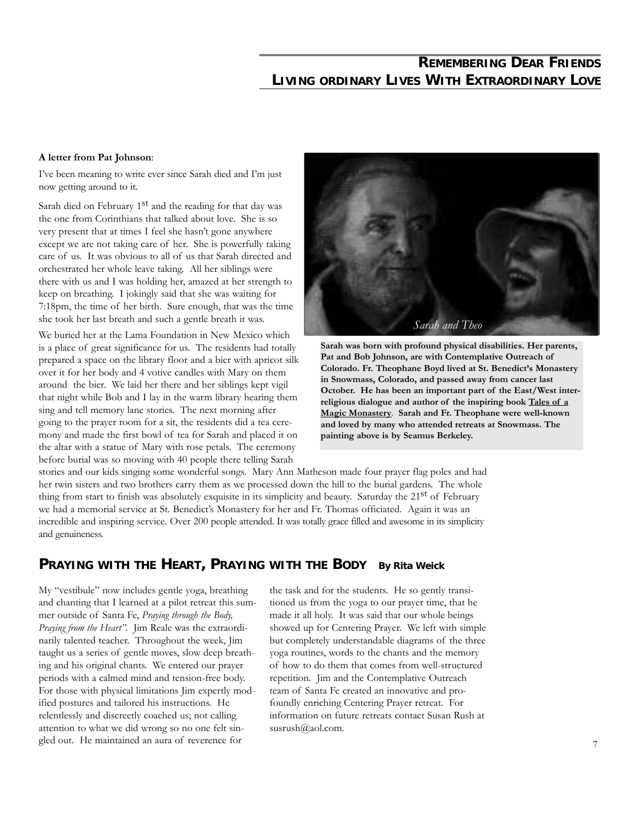### **REMEMBERING DEAR FRIENDS LIVING ORDINARY LIVES WITH EXTRAORDINARY LOVE**

#### **A letter from Pat Johnson**:

I've been meaning to write ever since Sarah died and I'm just now getting around to it.

Sarah died on February  $1<sup>st</sup>$  and the reading for that day was the one from Corinthians that talked about love. She is so very present that at times I feel she hasn't gone anywhere except we are not taking care of her. She is powerfully taking care of us. It was obvious to all of us that Sarah directed and orchestrated her whole leave taking. All her siblings were there with us and I was holding her, amazed at her strength to keep on breathing. I jokingly said that she was waiting for 7:18pm, the time of her birth. Sure enough, that was the time she took her last breath and such a gentle breath it was.

We buried her at the Lama Foundation in New Mexico which is a place of great significance for us. The residents had totally prepared a space on the library floor and a bier with apricot silk over it for her body and 4 votive candles with Mary on them around the bier. We laid her there and her siblings kept vigil that night while Bob and I lay in the warm library hearing them sing and tell memory lane stories. The next morning after going to the prayer room for a sit, the residents did a tea ceremony and made the first bowl of tea for Sarah and placed it on the altar with a statue of Mary with rose petals. The ceremony before burial was so moving with 40 people there telling Sarah



**Sarah was born with profound physical disabilities. Her parents, Pat and Bob Johnson, are with Contemplative Outreach of Colorado. Fr. Theophane Boyd lived at St. Benedict's Monastery in Snowmass, Colorado, and passed away from cancer last October. He has been an important part of the East/West interreligious dialogue and author of the inspiring book Tales of a Magic Monastery**. **Sarah and Fr. Theophane were well-known and loved by many who attended retreats at Snowmass. The painting above is by Seamus Berkeley.**

stories and our kids singing some wonderful songs. Mary Ann Matheson made four prayer flag poles and had her twin sisters and two brothers carry them as we processed down the hill to the burial gardens. The whole thing from start to finish was absolutely exquisite in its simplicity and beauty. Saturday the 21<sup>st</sup> of February we had a memorial service at St. Benedict's Monastery for her and Fr. Thomas officiated. Again it was an incredible and inspiring service. Over 200 people attended. It was totally grace filled and awesome in its simplicity and genuineness.

### **PRAYING WITH THE HEART, PRAYING WITH THE BODY By Rita Weick**

My "vestibule" now includes gentle yoga, breathing and chanting that I learned at a pilot retreat this summer outside of Santa Fe, *Praying through the Body, Praying from the Heart"*. Jim Reale was the extraordinarily talented teacher. Throughout the week, Jim taught us a series of gentle moves, slow deep breathing and his original chants. We entered our prayer periods with a calmed mind and tension-free body. For those with physical limitations Jim expertly modified postures and tailored his instructions. He relentlessly and discreetly coached us; not calling attention to what we did wrong so no one felt singled out. He maintained an aura of reverence for

the task and for the students. He so gently transitioned us from the yoga to our prayer time, that he made it all holy. It was said that our whole beings showed up for Centering Prayer. We left with simple but completely understandable diagrams of the three yoga routines, words to the chants and the memory of how to do them that comes from well-structured repetition. Jim and the Contemplative Outreach team of Santa Fe created an innovative and profoundly enriching Centering Prayer retreat. For information on future retreats contact Susan Rush at susrush@aol.com.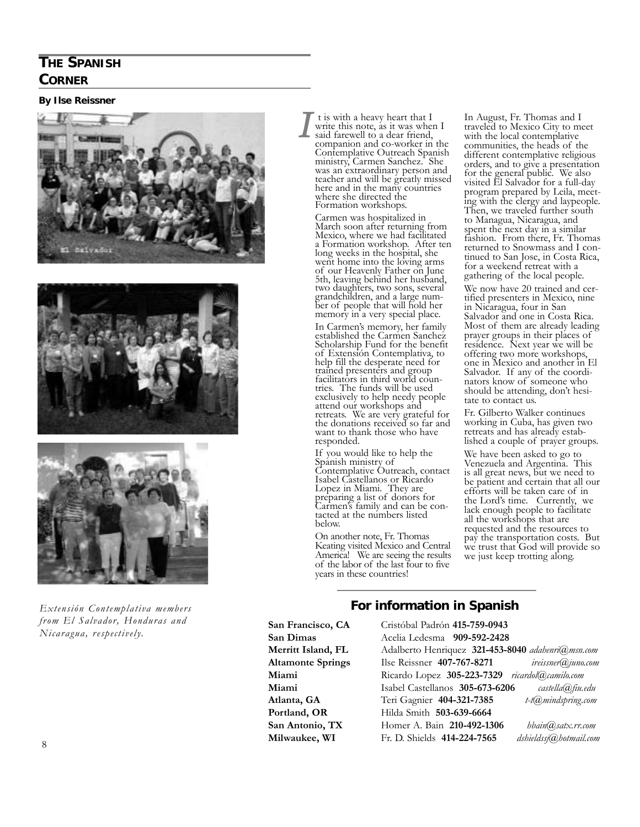### **THE SPANISH CORNER**

#### **By Ilse Reissner**







*Extensión Contemplativa members from El Salvador, Honduras and Nicaragua, respectively.*

t is with a heavy heart that I write this note, as it was when I said farewell to a dear friend, companion and co-worker in the Contemplative Outreach Spanish ministry, Carmen Sanchez. She was an extraordinary person and teacher and will be greatly missed here and in the many countries where she directed the Formation workshops.

*I*

Carmen was hospitalized in March soon after returning from Mexico, where we had facilitated a Formation workshop. After ten long weeks in the hospital, she went home into the loving arms of our Heavenly Father on June 5th, leaving behind her husband, two daughters, two sons, several grandchildren, and a large number of people that will hold her memory in a very special place.

In Carmen's memory, her family established the Carmen Sanchez Scholarship Fund for the benefit of Extensión Contemplativa, to help fill the desperate need for trained presenters and group facilitators in third world countries. The funds will be used exclusively to help needy people attend our workshops and retreats. We are very grateful for the donations received so far and want to thank those who have responded.

If you would like to help the Spanish ministry of Contemplative Outreach, contact Isabel Castellanos or Ricardo Lopez in Miami. They are preparing a list of donors for Carmen's family and can be contacted at the numbers listed below.

On another note, Fr. Thomas Keating visited Mexico and Central America! We are seeing the results of the labor of the last four to five years in these countries!

In August, Fr. Thomas and I traveled to Mexico City to meet with the local contemplative communities, the heads of the different contemplative religious orders, and to give a presentation for the general public. We also visited El Salvador for a full-day program prepared by Leila, meeting with the clergy and laypeople. Then, we traveled further south to Managua, Nicaragua, and spent the next day in a similar fashion. From there, Fr. Thomas returned to Snowmass and I continued to San Jose, in Costa Rica, for a weekend retreat with a gathering of the local people.

We now have 20 trained and certified presenters in Mexico, nine in Nicaragua, four in San Salvador and one in Costa Rica. Most of them are already leading prayer groups in their places of residence. Next year we will be offering two more workshops, one in Mexico and another in El Salvador. If any of the coordinators know of someone who should be attending, don't hesitate to contact us.

Fr. Gilberto Walker continues working in Cuba, has given two retreats and has already established a couple of prayer groups.

We have been asked to go to Venezuela and Argentina. This is all great news, but we need to be patient and certain that all our efforts will be taken care of in the Lord's time. Currently, we lack enough people to facilitate all the workshops that are requested and the resources to pay the transportation costs. But we trust that God will provide so we just keep trotting along.

### **For information in Spanish**

**San Francisco, CA** Cristóbal Padrón **415-759-0943**

**San Dimas** Acelia Ledesma **909-592-2428 Merritt Island, FL** Adalberto Henriquez **321-453-8040** *adahenri@msn.com* **Altamonte Springs** Ilse Reissner **407-767-8271** *ireissner@juno.com* **Miami** Ricardo Lopez **305-223-7329** *ricardol@camilo.com* **Miami** Isabel Castellanos **305-673-6206** *castella@fiu.edu* **Atlanta, GA** Teri Gagnier **404-321-7385** *t-t@mindspring.com* **Portland, OR** Hilda Smith **503-639-6664 San Antonio, TX** Homer A. Bain **210-492-1306** *hbain@satx.rr.com* **Milwaukee, WI** Fr. D. Shields **414-224-7565** *dshieldssj@hotmail.com*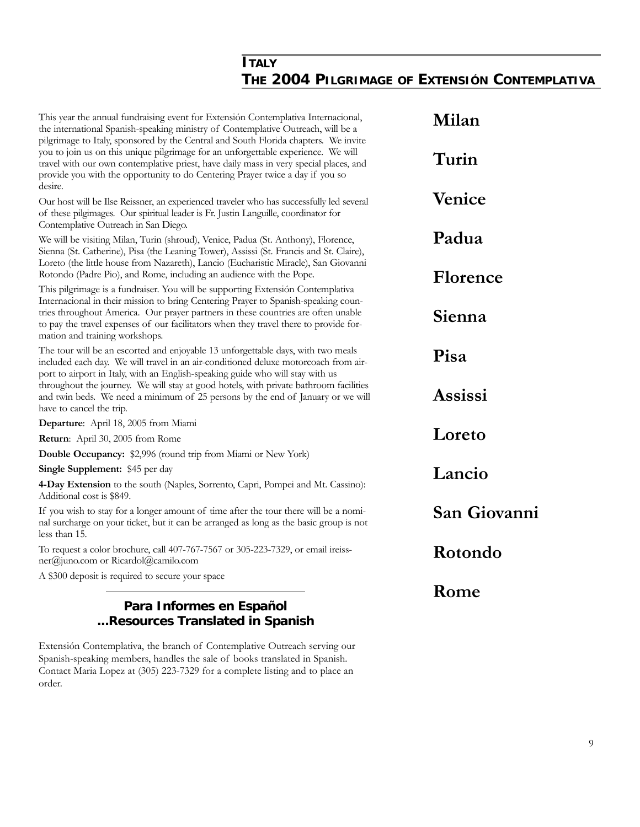### **ITALY THE 2004 PILGRIMAGE OF EXTENSIÓN CONTEMPLATIVA**

| This year the annual fundraising event for Extensión Contemplativa Internacional,<br>the international Spanish-speaking ministry of Contemplative Outreach, will be a<br>pilgrimage to Italy, sponsored by the Central and South Florida chapters. We invite                                                                                       | Milan                  |
|----------------------------------------------------------------------------------------------------------------------------------------------------------------------------------------------------------------------------------------------------------------------------------------------------------------------------------------------------|------------------------|
| you to join us on this unique pilgrimage for an unforgettable experience. We will<br>travel with our own contemplative priest, have daily mass in very special places, and<br>provide you with the opportunity to do Centering Prayer twice a day if you so<br>desire.                                                                             | Turin                  |
| Our host will be Ilse Reissner, an experienced traveler who has successfully led several<br>of these pilgimages. Our spiritual leader is Fr. Justin Languille, coordinator for<br>Contemplative Outreach in San Diego.                                                                                                                             | Venice                 |
| We will be visiting Milan, Turin (shroud), Venice, Padua (St. Anthony), Florence,<br>Sienna (St. Catherine), Pisa (the Leaning Tower), Assissi (St. Francis and St. Claire),<br>Loreto (the little house from Nazareth), Lancio (Eucharistic Miracle), San Giovanni                                                                                | Padua                  |
| Rotondo (Padre Pio), and Rome, including an audience with the Pope.<br>This pilgrimage is a fundraiser. You will be supporting Extensión Contemplativa                                                                                                                                                                                             | Florence               |
| Internacional in their mission to bring Centering Prayer to Spanish-speaking coun-<br>tries throughout America. Our prayer partners in these countries are often unable<br>to pay the travel expenses of our facilitators when they travel there to provide for-<br>mation and training workshops.                                                 | Sienna                 |
| The tour will be an escorted and enjoyable 13 unforgettable days, with two meals<br>included each day. We will travel in an air-conditioned deluxe motorcoach from air-<br>port to airport in Italy, with an English-speaking guide who will stay with us<br>throughout the journey. We will stay at good hotels, with private bathroom facilities | Pisa<br><b>Assissi</b> |
| and twin beds. We need a minimum of 25 persons by the end of January or we will<br>have to cancel the trip.                                                                                                                                                                                                                                        |                        |
| Departure: April 18, 2005 from Miami                                                                                                                                                                                                                                                                                                               |                        |
| Return: April 30, 2005 from Rome                                                                                                                                                                                                                                                                                                                   | Loreto                 |
| Double Occupancy: \$2,996 (round trip from Miami or New York)                                                                                                                                                                                                                                                                                      |                        |
| Single Supplement: \$45 per day                                                                                                                                                                                                                                                                                                                    | Lancio                 |
| 4-Day Extension to the south (Naples, Sorrento, Capri, Pompei and Mt. Cassino):<br>Additional cost is \$849.                                                                                                                                                                                                                                       |                        |
| If you wish to stay for a longer amount of time after the tour there will be a nomi-<br>nal surcharge on your ticket, but it can be arranged as long as the basic group is not<br>less than 15.                                                                                                                                                    | San Giovanni           |
| To request a color brochure, call 407-767-7567 or 305-223-7329, or email ireiss-<br>ner@juno.com or Ricardol@camilo.com                                                                                                                                                                                                                            | Rotondo                |
| A \$300 deposit is required to secure your space                                                                                                                                                                                                                                                                                                   |                        |
| Para Informes en Español<br>Resources Translated in Spanish                                                                                                                                                                                                                                                                                        | Rome                   |

Extensión Contemplativa, the branch of Contemplative Outreach serving our Spanish-speaking members, handles the sale of books translated in Spanish. Contact Maria Lopez at (305) 223-7329 for a complete listing and to place an order.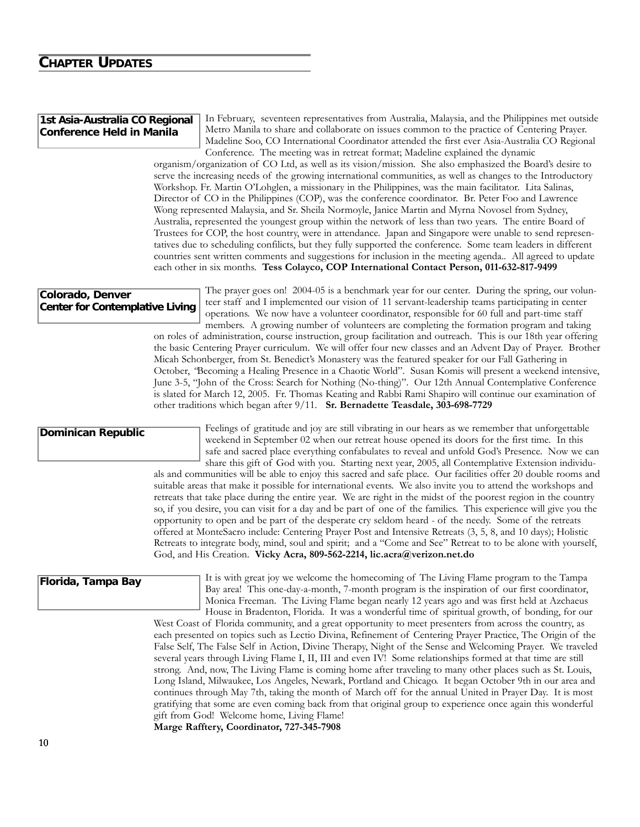### **CHAPTER UPDATES**

#### **1st Asia-Australia CO Regional Conference Held in Manila**

In February, seventeen representatives from Australia, Malaysia, and the Philippines met outside Metro Manila to share and collaborate on issues common to the practice of Centering Prayer. Madeline Soo, CO International Coordinator attended the first ever Asia-Australia CO Regional Conference. The meeting was in retreat format; Madeline explained the dynamic

organism/organization of CO Ltd, as well as its vision/mission. She also emphasized the Board's desire to serve the increasing needs of the growing international communities, as well as changes to the Introductory Workshop. Fr. Martin O'Lohglen, a missionary in the Philippines, was the main facilitator. Lita Salinas, Director of CO in the Philippines (COP), was the conference coordinator. Br. Peter Foo and Lawrence Wong represented Malaysia, and Sr. Sheila Normoyle, Janice Martin and Myrna Novosel from Sydney, Australia, represented the youngest group within the network of less than two years. The entire Board of Trustees for COP, the host country, were in attendance. Japan and Singapore were unable to send representatives due to scheduling confilicts, but they fully supported the conference. Some team leaders in different countries sent written comments and suggestions for inclusion in the meeting agenda.. All agreed to update each other in six months. **Tess Colayco, COP International Contact Person, 011-632-817-9499**

#### **Colorado, Denver Center for Contemplative Living**

The prayer goes on! 2004-05 is a benchmark year for our center. During the spring, our volunteer staff and I implemented our vision of 11 servant-leadership teams participating in center operations. We now have a volunteer coordinator, responsible for 60 full and part-time staff members. A growing number of volunteers are completing the formation program and taking

on roles of administration, course instruction, group facilitation and outreach. This is our 18th year offering the basic Centering Prayer curriculum. We will offer four new classes and an Advent Day of Prayer. Brother Micah Schonberger, from St. Benedict's Monastery was the featured speaker for our Fall Gathering in October, *"*Becoming a Healing Presence in a Chaotic World". Susan Komis will present a weekend intensive, June 3-5, "John of the Cross: Search for Nothing (No-thing)". Our 12th Annual Contemplative Conference is slated for March 12, 2005. Fr. Thomas Keating and Rabbi Rami Shapiro will continue our examination of other traditions which began after 9/11. **Sr. Bernadette Teasdale, 303-698-7729**

**Dominican Republic**

Feelings of gratitude and joy are still vibrating in our hears as we remember that unforgettable weekend in September 02 when our retreat house opened its doors for the first time. In this safe and sacred place everything confabulates to reveal and unfold God's Presence. Now we can share this gift of God with you. Starting next year, 2005, all Contemplative Extension individu-

als and communities will be able to enjoy this sacred and safe place. Our facilities offer 20 double rooms and suitable areas that make it possible for international events. We also invite you to attend the workshops and retreats that take place during the entire year. We are right in the midst of the poorest region in the country so, if you desire, you can visit for a day and be part of one of the families. This experience will give you the opportunity to open and be part of the desperate cry seldom heard - of the needy. Some of the retreats offered at MonteSacro include: Centering Prayer Post and Intensive Retreats (3, 5, 8, and 10 days); Holistic Retreats to integrate body, mind, soul and spirit; and a "Come and See" Retreat to to be alone with yourself, God, and His Creation. **Vicky Acra, 809-562-2214, lic.acra@verizon.net.do**

#### **Florida, Tampa Bay**

It is with great joy we welcome the homecoming of The Living Flame program to the Tampa Bay area! This one-day-a-month, 7-month program is the inspiration of our first coordinator, Monica Freeman. The Living Flame began nearly 12 years ago and was first held at Azchaeus House in Bradenton, Florida. It was a wonderful time of spiritual growth, of bonding, for our

West Coast of Florida community, and a great opportunity to meet presenters from across the country, as each presented on topics such as Lectio Divina, Refinement of Centering Prayer Practice, The Origin of the False Self, The False Self in Action, Divine Therapy, Night of the Sense and Welcoming Prayer. We traveled several years through Living Flame I, II, III and even IV! Some relationships formed at that time are still strong. And, now, The Living Flame is coming home after traveling to many other places such as St. Louis, Long Island, Milwaukee, Los Angeles, Newark, Portland and Chicago. It began October 9th in our area and continues through May 7th, taking the month of March off for the annual United in Prayer Day. It is most gratifying that some are even coming back from that original group to experience once again this wonderful gift from God! Welcome home, Living Flame!

**Marge Rafftery, Coordinator, 727-345-7908**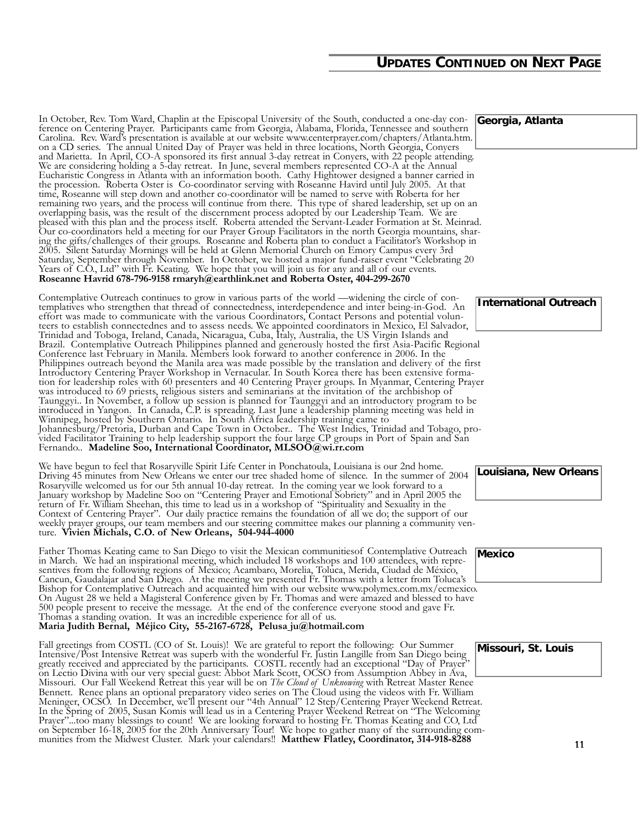### **UPDATES CONTINUED ON NEXT PAGE**

In October, Rev. Tom Ward, Chaplin at the Episcopal University of the South, conducted a one-day conference on Centering Prayer. Participants came from Georgia, Alabama, Florida, Tennessee and southern Carolina. Rev. Ward's presentation is available at our website www.centerprayer.com/chapters/Atlanta.htm. on a CD series. The annual United Day of Prayer was held in three locations, North Georgia, Conyers and Marietta. In April, CO-A sponsored its first annual 3-day retreat in Conyers, with 22 people attending. We are considering holding a 5-day retreat. In June, several members represented CO-A at the Annual Eucharistic Congress in Atlanta with an information booth. Cathy Hightower designed a banner carried in the procession. Roberta Oster is Co-coordinator serving with Roseanne Havird until July 2005. At that time, Roseanne will step down and another co-coordinator will be named to serve with Roberta for her remaining two years, and the process will continue from there. This type of shared leadership, set up on an overlapping basis, was the result of the discernment process adopted by our Leadership Team. We are pleased with this plan and the process itself. Roberta attended the Servant-Leader Formation at St. Meinrad. Our co-coordinators held a meeting for our Prayer Group Facilitators in the north Georgia mountains, sharing the gifts/challenges of their groups. Roseanne and Roberta plan to conduct a Facilitator's Workshop in 2005. Silent Saturday Mornings will be held at Glenn Memorial Church on Emory Campus every 3rd Saturday, September through November. In October, we hosted a major fund-raiser event "Celebrating 20 Years of C.O., Ltd" with Fr. Keating. We hope that you will join us for any and all of our events. **Roseanne Havrid 678-796-9158 rmaryh@earthlink.net and Roberta Oster, 404-299-2670**

Contemplative Outreach continues to grow in various parts of the world —widening the circle of contemplatives who strengthen that thread of connectedness, interdependence and inter being-in-God. An effort was made to communicate with the various Coordinators, Contact Persons and potential volunteers to establish connectednes and to assess needs. We appointed coordinators in Mexico, El Salvador, Trinidad and Toboga, Ireland, Canada, Nicaragua, Cuba, Italy, Australia, the US Virgin Islands and Brazil. Contemplative Outreach Philippines planned and generously hosted the first Asia-Pacific Regional Conference last February in Manila. Members look forward to another conference in 2006. In the Philippines outreach beyond the Manila area was made possible by the translation and delivery of the first Introductory Centering Prayer Workshop in Vernacular. In South Korea there has been extensive formation for leadership roles with 60 presenters and 40 Centering Prayer groups. In Myanmar, Centering Prayer was introduced to 69 priests, religious sisters and seminarians at the invitation of the archbishop of Taunggyi.. In November, a follow up session is planned for Taunggyi and an introductory program to be introduced in Yangon. In Canada, C.P. is spreading. Last June a leadership planning meeting was held in Winnipeg, hosted by Southern Ontario. In South Africa leadership training came to Johannesburg/Pretoria, Durban and Cape Town in October.. The West Indies, Trinidad and Tobago, provided Facilitator Training to help leadership support the four large CP groups in Port of Spain and San Fernando.. **Madeline Soo, International Coordinator, MLSOO@wi.rr.com** mental on the minimal conditions of the minimal conditions in the Middle Cluster. Matthew Flatley, a computer with the Middle Cluster. Matthew Flatley and the Middle Cluster. Higher calendars in the minimal conditions for

We have begun to feel that Rosaryville Spirit Life Center in Ponchatoula, Louisiana is our 2nd home. Driving 45 minutes from New Orleans we enter our tree shaded home of silence. In the summer of 2004 Rosaryville welcomed us for our 5th annual 10-day retreat. In the coming year we look forward to a January workshop by Madeline Soo on "Centering Prayer and Emotional Sobriety" and in April 2005 the return of Fr. William Sheehan, this time to lead us in a workshop of "Spirituality and Sexuality in the Context of Centering Prayer". Our daily practice remains the foundation of all we do; the support of our weekly prayer groups, our team members and our steering committee makes our planning a community venture. **Vivien Michals, C.O. of New Orleans, 504-944-4000**

Father Thomas Keating came to San Diego to visit the Mexican communitiesof Contemplative Outreach in March. We had an inspirational meeting, which included 18 workshops and 100 attendees, with representives from the following regions of Mexico; Acambaro, Morelia, Toluca, Merida, Ciudad de México, Cancun, Gaudalajar and San Diego. At the meeting we presented Fr. Thomas with a letter from Toluca's Bishop for Contemplative Outreach and acquainted him with our website www.polymex.com.mx/ecmexico. On August 28 we held a Magisteral Conference given by Fr. Thomas and were amazed and blessed to have 500 people present to receive the message. At the end of the conference everyone stood and gave Fr. Thomas a standing ovation. It was an incredible experience for all of us. **Maria Judith Bernal, Méjico City, 55-2167-6728, Pelusa ju@hotmail.com**

Fall greetings from COSTL (CO of St. Louis)! We are grateful to report the following: Our Summer Intensive/Post Intensive Retreat was superb with the wonderful Fr. Justin Langille from San Diego being greatly received and appreciated by the participants. COSTL recently had an exceptional "Day of Prayer" on Lectio Divina with our very special guest: Abbot Mark Scott, OCSO from Assumption Abbey in Ava, Missouri. Our Fall Weekend Retreat this year will be on *The Cloud of Unknowing* with Retreat Master Renee Bennett. Renee plans an optional preparatory video series on The Cloud using the videos with Fr. William Meninger, OCSO. In December, we'll present our "4th Annual" 12 Step/Centering Prayer Weekend Retreat. In the Spring of 2005, Susan Komis will lead us in a Centering Prayer Weekend Retreat on "The Welcoming Prayer"...too many blessings to count! We are looking forward to hosting Fr. Thomas Keating and CO, Ltd on September 16-18, 2005 for the 20th Anniversary Tour! We hope to gather many of the surrounding com-<br>munities from the Midwest Cluster. Mark your calendars!! **Matthew Flatley, Coordinator, 314-918-8288** 

**Georgia, Atlanta**

**Louisiana, New Orleans**

**Mexico**

**Missouri, St. Louis**

11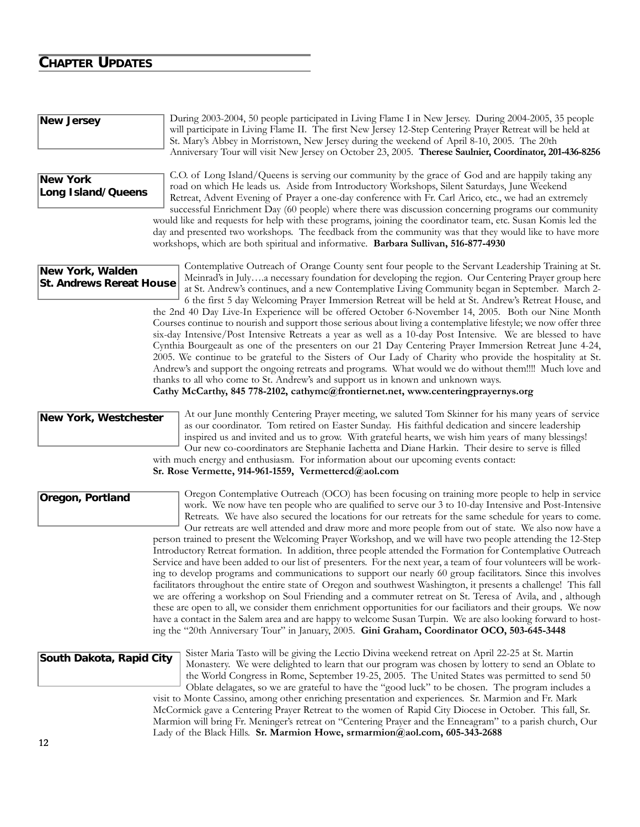### **CHAPTER UPDATES**

**New Jersey**

|                                                     | will participate in Living Flame II. The first New Jersey 12-Step Centering Prayer Retreat will be held at<br>St. Mary's Abbey in Morristown, New Jersey during the weekend of April 8-10, 2005. The 20th<br>Anniversary Tour will visit New Jersey on October 23, 2005. Therese Saulnier, Coordinator, 201-436-8256                                                                                                                                                                                                                                                                                                                                                                                                                                                                                                                                                                                                                                                                                                                                                                                                                                                                                                                                                                                                                                                                                                                                        |
|-----------------------------------------------------|-------------------------------------------------------------------------------------------------------------------------------------------------------------------------------------------------------------------------------------------------------------------------------------------------------------------------------------------------------------------------------------------------------------------------------------------------------------------------------------------------------------------------------------------------------------------------------------------------------------------------------------------------------------------------------------------------------------------------------------------------------------------------------------------------------------------------------------------------------------------------------------------------------------------------------------------------------------------------------------------------------------------------------------------------------------------------------------------------------------------------------------------------------------------------------------------------------------------------------------------------------------------------------------------------------------------------------------------------------------------------------------------------------------------------------------------------------------|
| <b>New York</b><br>Long Island/Queens               | C.O. of Long Island/Queens is serving our community by the grace of God and are happily taking any<br>road on which He leads us. Aside from Introductory Workshops, Silent Saturdays, June Weekend<br>Retreat, Advent Evening of Prayer a one-day conference with Fr. Carl Arico, etc., we had an extremely<br>successful Enrichment Day (60 people) where there was discussion concerning programs our community<br>would like and requests for help with these programs, joining the coordinator team, etc. Susan Komis led the<br>day and presented two workshops. The feedback from the community was that they would like to have more<br>workshops, which are both spiritual and informative. Barbara Sullivan, 516-877-4930                                                                                                                                                                                                                                                                                                                                                                                                                                                                                                                                                                                                                                                                                                                          |
| New York, Walden<br><b>St. Andrews Rereat House</b> | Contemplative Outreach of Orange County sent four people to the Servant Leadership Training at St.<br>Meinrad's in Julya necessary foundation for developing the region. Our Centering Prayer group here<br>at St. Andrew's continues, and a new Contemplative Living Community began in September. March 2-<br>6 the first 5 day Welcoming Prayer Immersion Retreat will be held at St. Andrew's Retreat House, and<br>the 2nd 40 Day Live-In Experience will be offered October 6-November 14, 2005. Both our Nine Month<br>Courses continue to nourish and support those serious about living a contemplative lifestyle; we now offer three<br>six-day Intensive/Post Intensive Retreats a year as well as a 10-day Post Intensive. We are blessed to have<br>Cynthia Bourgeault as one of the presenters on our 21 Day Centering Prayer Immersion Retreat June 4-24,<br>2005. We continue to be grateful to the Sisters of Our Lady of Charity who provide the hospitality at St.<br>Andrew's and support the ongoing retreats and programs. What would we do without them!!!! Much love and<br>thanks to all who come to St. Andrew's and support us in known and unknown ways.<br>Cathy McCarthy, 845 778-2102, cathymc@frontiernet.net, www.centeringprayernys.org                                                                                                                                                                                   |
| New York, Westchester                               | At our June monthly Centering Prayer meeting, we saluted Tom Skinner for his many years of service<br>as our coordinator. Tom retired on Easter Sunday. His faithful dedication and sincere leadership<br>inspired us and invited and us to grow. With grateful hearts, we wish him years of many blessings!<br>Our new co-coordinators are Stephanie Iachetta and Diane Harkin. Their desire to serve is filled<br>with much energy and enthusiasm. For information about our upcoming events contact:<br>Sr. Rose Vermette, 914-961-1559, Vermettercd@aol.com                                                                                                                                                                                                                                                                                                                                                                                                                                                                                                                                                                                                                                                                                                                                                                                                                                                                                             |
| Oregon, Portland                                    | Oregon Contemplative Outreach (OCO) has been focusing on training more people to help in service<br>work. We now have ten people who are qualified to serve our 3 to 10-day Intensive and Post-Intensive<br>Retreats. We have also secured the locations for our retreats for the same schedule for years to come.<br>Our retreats are well attended and draw more and more people from out of state. We also now have a<br>person trained to present the Welcoming Prayer Workshop, and we will have two people attending the 12-Step<br>Introductory Retreat formation. In addition, three people attended the Formation for Contemplative Outreach<br>Service and have been added to our list of presenters. For the next year, a team of four volunteers will be work-<br>ing to develop programs and communications to support our nearly 60 group facilitators. Since this involves<br>facilitators throughout the entire state of Oregon and southwest Washington, it presents a challenge! This fall<br>we are offering a workshop on Soul Friending and a commuter retreat on St. Teresa of Avila, and , although<br>these are open to all, we consider them enrichment opportunities for our faciliators and their groups. We now<br>have a contact in the Salem area and are happy to welcome Susan Turpin. We are also looking forward to host-<br>ing the "20th Anniversary Tour" in January, 2005. Gini Graham, Coordinator OCO, 503-645-3448 |
| South Dakota, Rapid City                            | Sister Maria Tasto will be giving the Lectio Divina weekend retreat on April 22-25 at St. Martin<br>Monastery. We were delighted to learn that our program was chosen by lottery to send an Oblate to<br>the World Congress in Rome, September 19-25, 2005. The United States was permitted to send 50<br>Oblate delagates, so we are grateful to have the "good luck" to be chosen. The program includes a<br>visit to Monte Cassino, among other enriching presentation and experiences. Sr. Marmion and Fr. Mark<br>McCormick gave a Centering Prayer Retreat to the women of Rapid City Diocese in October. This fall, Sr.<br>Marmion will bring Fr. Meninger's retreat on "Centering Prayer and the Enneagram" to a parish church, Our<br>Lady of the Black Hills. Sr. Marmion Howe, srmarmion@aol.com, 605-343-2688                                                                                                                                                                                                                                                                                                                                                                                                                                                                                                                                                                                                                                   |
| 12                                                  |                                                                                                                                                                                                                                                                                                                                                                                                                                                                                                                                                                                                                                                                                                                                                                                                                                                                                                                                                                                                                                                                                                                                                                                                                                                                                                                                                                                                                                                             |

During 2003-2004, 50 people participated in Living Flame I in New Jersey. During 2004-2005, 35 people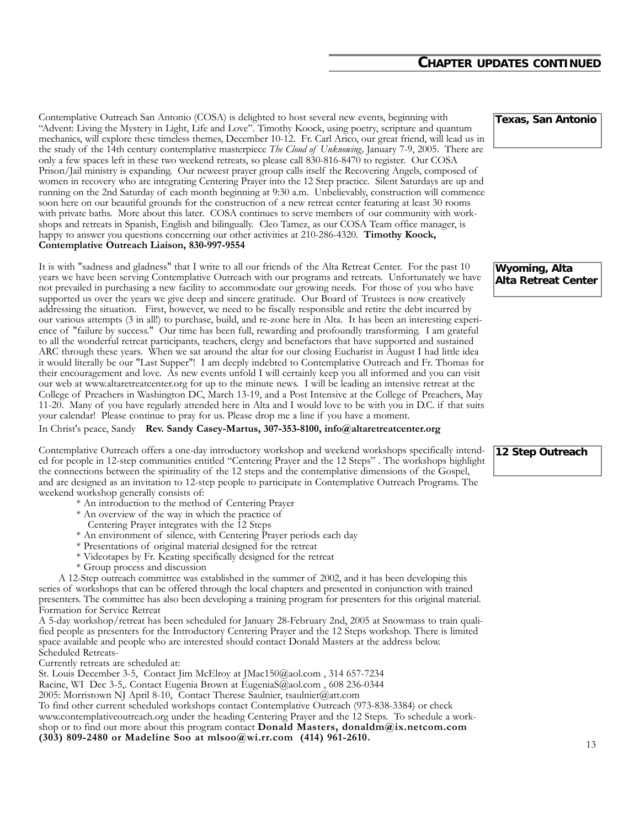#### **CHAPTER UPDATES CONTINUED**

Contemplative Outreach San Antonio (COSA) is delighted to host several new events, beginning with "Advent: Living the Mystery in Light, Life and Love". Timothy Koock, using poetry, scripture and quantum mechanics, will explore these timeless themes, December 10-12. Fr. Carl Arico, our great friend, will lead us in the study of the 14th century contemplative masterpiece *The Cloud of Unknowing,* January 7-9, 2005. There are only a few spaces left in these two weekend retreats, so please call 830-816-8470 to register. Our COSA Prison/Jail ministry is expanding. Our neweest prayer group calls itself the Recovering Angels, composed of women in recovery who are integrating Centering Prayer into the 12 Step practice. Silent Saturdays are up and running on the 2nd Saturday of each month beginning at 9:30 a.m. Unbelievably, construction will commence soon here on our beautiful grounds for the construction of a new retreat center featuring at least 30 rooms with private baths. More about this later. COSA continues to serve members of our community with workshops and retreats in Spanish, English and bilingually. Cleo Tamez, as our COSA Team office manager, is happy to answer you questions concerning our other activities at 210-286-4320. **Timothy Koock, Contemplative Outreach Liaison, 830-997-9554**

It is with "sadness and gladness" that I write to all our friends of the Alta Retreat Center. For the past 10 years we have been serving Contemplative Outreach with our programs and retreats. Unfortunately we have not prevailed in purchasing a new facility to accommodate our growing needs. For those of you who have supported us over the years we give deep and sincere gratitude. Our Board of Trustees is now creatively addressing the situation. First, however, we need to be fiscally responsible and retire the debt incurred by our various attempts (3 in all!) to purchase, build, and re-zone here in Alta. It has been an interesting experience of "failure by success." Our time has been full, rewarding and profoundly transforming. I am grateful to all the wonderful retreat participants, teachers, clergy and benefactors that have supported and sustained ARC through these years. When we sat around the altar for our closing Eucharist in August I had little idea it would literally be our "Last Supper"! I am deeply indebted to Contemplative Outreach and Fr. Thomas for their encouragement and love. As new events unfold I will certainly keep you all informed and you can visit our web at www.altaretreatcenter.org for up to the minute news. I will be leading an intensive retreat at the College of Preachers in Washington DC, March 13-19, and a Post Intensive at the College of Preachers, May 11-20. Many of you have regularly attended here in Alta and I would love to be with you in D.C. if that suits your calendar! Please continue to pray for us. Please drop me a line if you have a moment.

#### In Christ's peace, Sandy **Rev. Sandy Casey-Martus, 307-353-8100, info@altaretreatcenter.org**

Contemplative Outreach offers a one-day introductory workshop and weekend workshops specifically intended for people in 12-step communities entitled "Centering Prayer and the 12 Steps" . The workshops highlight the connections between the spirituality of the 12 steps and the contemplative dimensions of the Gospel, and are designed as an invitation to 12-step people to participate in Contemplative Outreach Programs. The weekend workshop generally consists of:

- \* An introduction to the method of Centering Prayer
- \* An overview of the way in which the practice of
- Centering Prayer integrates with the 12 Steps
- \* An environment of silence, with Centering Prayer periods each day
- \* Presentations of original material designed for the retreat
- \* Videotapes by Fr. Keating specifically designed for the retreat
- \* Group process and discussion

A 12-Step outreach committee was established in the summer of 2002, and it has been developing this series of workshops that can be offered through the local chapters and presented in conjunction with trained presenters. The committee has also been developing a training program for presenters for this original material. Formation for Service Retreat

A 5-day workshop/retreat has been scheduled for January 28-February 2nd, 2005 at Snowmass to train qualified people as presenters for the Introductory Centering Prayer and the 12 Steps workshop. There is limited space available and people who are interested should contact Donald Masters at the address below. Scheduled Retreats-

Currently retreats are scheduled at:

St. Louis December 3-5, Contact Jim McElroy at JMac150@aol.com , 314 657-7234

Racine, WI Dec 3-5,. Contact Eugenia Brown at EugeniaS@aol.com, 608 236-0344

2005: Morristown NJ April 8-10, Contact Therese Saulnier, tsaulnier@att.com

To find other current scheduled workshops contact Contemplative Outreach (973-838-3384) or check www.contemplativeoutreach.org under the heading Centering Prayer and the 12 Steps. To schedule a workshop or to find out more about this program contact **Donald Masters, donaldm@ix.netcom.com (303) 809-2480 or Madeline Soo at mlsoo@wi.rr.com (414) 961-2610.** <sup>13</sup>

**Texas, San Antonio**

**Wyoming, Alta Alta Retreat Center**

#### **12 Step Outreach**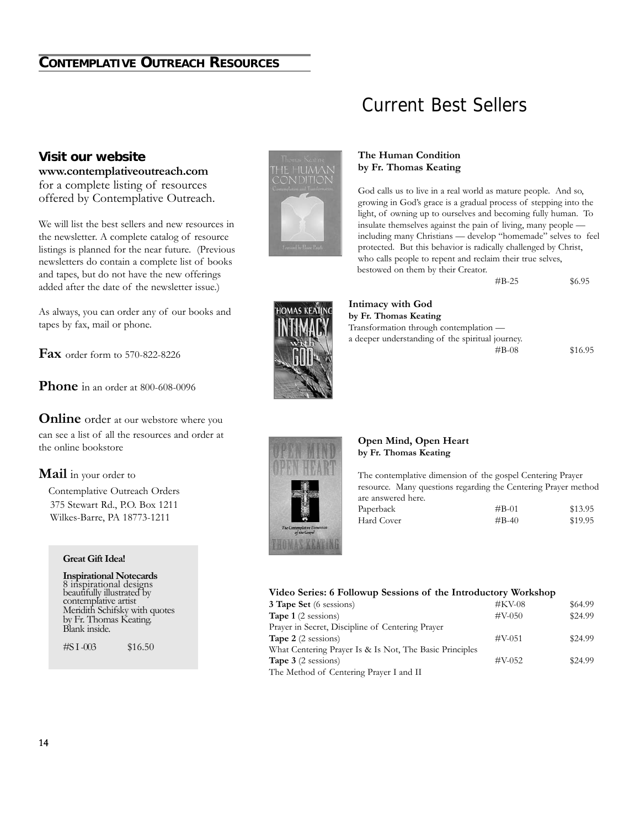### **CONTEMPLATIVE OUTREACH RESOURCES**

#### **Visit our website**

**www.contemplativeoutreach.com** for a complete listing of resources offered by Contemplative Outreach.

We will list the best sellers and new resources in the newsletter. A complete catalog of resource listings is planned for the near future. (Previous newsletters do contain a complete list of books and tapes, but do not have the new offerings added after the date of the newsletter issue.)

As always, you can order any of our books and tapes by fax, mail or phone.

**Fax** order form to 570-822-8226

**Phone** in an order at 800-608-0096

**Online** order at our webstore where you can see a list of all the resources and order at the online bookstore

#### **Mail** in your order to

Contemplative Outreach Orders 375 Stewart Rd., P.O. Box 1211 Wilkes-Barre, PA 18773-1211

#### **Great Gift Idea!**

**Inspirational Notecards** 8 inspirational designs beautifully illustrated by contemplative artist Meridith Schifsky with quotes by Fr. Thomas Keating. Blank inside.

#SI-003 \$16.50



### Current Best Sellers

#### **The Human Condition by Fr. Thomas Keating**

God calls us to live in a real world as mature people. And so, growing in God's grace is a gradual process of stepping into the light, of owning up to ourselves and becoming fully human. To insulate themselves against the pain of living, many people including many Christians — develop "homemade" selves to feel protected. But this behavior is radically challenged by Christ, who calls people to repent and reclaim their true selves, bestowed on them by their Creator.

| #B-25 | \$6.95 |
|-------|--------|
|       |        |



**Intimacy with God by Fr. Thomas Keating** Transformation through contemplation a deeper understanding of the spiritual journey.

#B-08 \$16.95



#### **Open Mind, Open Heart by Fr. Thomas Keating**

The contemplative dimension of the gospel Centering Prayer resource. Many questions regarding the Centering Prayer method are answered here.

| Paperback  | $\#B-01$ | \$13.95 |
|------------|----------|---------|
| Hard Cover | $\#B-40$ | \$19.95 |

#### **Video Series: 6 Followup Sessions of the Introductory Workshop**

| <b>3 Tape Set</b> (6 sessions)                          | $#$ KV-08 | \$64.99 |
|---------------------------------------------------------|-----------|---------|
|                                                         |           |         |
| <b>Tape 1</b> (2 sessions)                              | $\#V-050$ | \$24.99 |
| Prayer in Secret, Discipline of Centering Prayer        |           |         |
| <b>Tape 2</b> (2 sessions)                              | $\#V-051$ | \$24.99 |
| What Centering Prayer Is & Is Not, The Basic Principles |           |         |
| <b>Tape 3</b> $(2$ sessions)                            | $\#V-052$ | \$24.99 |
| The Method of Centering Prayer I and II                 |           |         |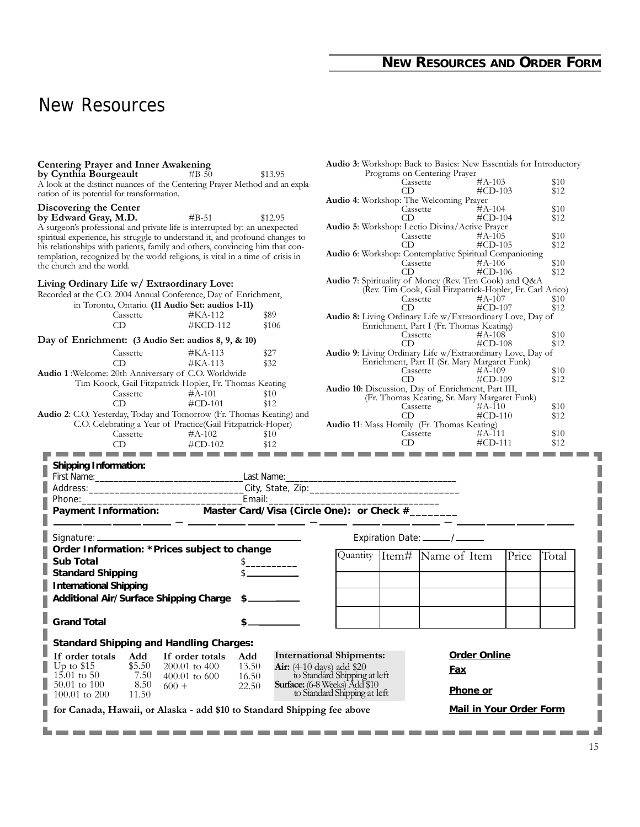### **NEW RESOURCES AND ORDER FORM**

## New Resources

| by Cynthia Bourgeault                                                                               | <b>Centering Prayer and Inner Awakening</b> |         |                                                          |          | Audio 3: Workshop: Back to Basics: New Essentials for Introductory<br>Programs on Centering Prayer |       |       |
|-----------------------------------------------------------------------------------------------------|---------------------------------------------|---------|----------------------------------------------------------|----------|----------------------------------------------------------------------------------------------------|-------|-------|
| A look at the distinct nuances of the Centering Prayer Method and an expla-                         | $\text{\#B-50}$                             | \$13.95 |                                                          | Cassette | $\#A-103$                                                                                          |       | \$10  |
| nation of its potential for transformation.                                                         |                                             |         |                                                          | CD       | $\#CD-103$                                                                                         |       | \$12  |
| Discovering the Center                                                                              |                                             |         |                                                          |          | Audio 4: Workshop: The Welcoming Prayer<br>$#A-104$                                                |       | \$10  |
| by Edward Gray, M.D.                                                                                | $#B-51$                                     | \$12.95 |                                                          | CD.      | Cassette<br>$\#CD-104$                                                                             |       | \$12  |
| A surgeon's professional and private life is interrupted by: an unexpected                          |                                             |         |                                                          |          | Audio 5: Workshop: Lectio Divina/Active Prayer                                                     |       |       |
| spiritual experience, his struggle to understand it, and profound changes to                        |                                             |         |                                                          | Cassette | $\#A-105$                                                                                          |       | \$10  |
| his relationships with patients, family and others, convincing him that con-                        |                                             |         |                                                          | CD.      | $\#CD-105$                                                                                         |       | \$12  |
| templation, recognized by the world religions, is vital in a time of crisis in                      |                                             |         |                                                          |          | Audio 6: Workshop: Contemplative Spiritual Companioning<br>$\#A-106$                               |       | \$10  |
| the church and the world.                                                                           |                                             |         |                                                          |          | Cassette <sup>1</sup><br>$\#\text{CD-106}$                                                         |       | \$12  |
| Living Ordinary Life w/ Extraordinary Love:                                                         |                                             |         |                                                          |          | Audio 7: Spirituality of Money (Rev. Tim Cook) and Q&A                                             |       |       |
| Recorded at the C.O. 2004 Annual Conference, Day of Enrichment,                                     |                                             |         | (Rev. Tim Cook, Gail Fitzpatrick-Hopler, Fr. Carl Arico) |          |                                                                                                    |       |       |
| in Toronto, Ontario. (11 Audio Set: audios 1-11)                                                    |                                             |         |                                                          | Cassette | $\#A - 107$                                                                                        |       | \$10  |
| Cassette                                                                                            | #KA-112                                     | \$89    |                                                          | CD.      | $\#\text{CD-107}$<br>Audio 8: Living Ordinary Life w/Extraordinary Love, Day of                    |       | \$12  |
| CD                                                                                                  | #KCD-112                                    | \$106   |                                                          |          | Enrichment, Part I (Fr. Thomas Keating)                                                            |       |       |
|                                                                                                     |                                             |         |                                                          |          | $\frac{1}{2}$<br>#A-108                                                                            |       | \$10  |
| Day of Enrichment: (3 Audio Set: audios 8, 9, & 10)                                                 |                                             |         |                                                          | CD       | $\#\text{CD-108}$                                                                                  |       | \$12  |
| Cassette                                                                                            | $#KA-113$                                   | \$27    |                                                          |          | Audio 9: Living Ordinary Life w/Extraordinary Love, Day of                                         |       |       |
| CD                                                                                                  | $#KA-113$                                   | \$32    |                                                          |          | Enrichment, Part II (Sr. Mary Margaret Funk)<br>$\#A-109$                                          |       | \$10  |
| Audio 1: Welcome: 20th Anniversary of C.O. Worldwide                                                |                                             |         |                                                          | CD       | $\frac{\text{C} \cdot \text{d} \cdot \text{c}}{\text{C} \cdot \text{D}}$<br>#CD-109                |       | \$12  |
| Tim Koock, Gail Fitzpatrick-Hopler, Fr. Thomas Keating                                              |                                             |         |                                                          |          | Audio 10: Discussion, Day of Enrichment, Part III,                                                 |       |       |
| Cassette                                                                                            | $\#A-101$                                   | \$10    |                                                          |          | (Fr. Thomas Keating, Sr. Mary Margaret Funk)                                                       |       |       |
| CD                                                                                                  | $\#CD-101$                                  | \$12    |                                                          |          | Cassette $#A-110$<br>CD $\#C$ D-11                                                                 |       | \$10  |
| Audio 2: C.O. Yesterday, Today and Tomorrow (Fr. Thomas Keating) and                                |                                             |         |                                                          | CD.      | $\#CD-110$                                                                                         |       | \$12  |
| C.O. Celebrating a Year of Practice(Gail Fitzpatrick-Hoper)<br>Cassette                             | $#A-102$                                    | \$10    |                                                          |          | Audio 11: Mass Homily (Fr. Thomas Keating)<br>#A-111                                               |       | \$10  |
|                                                                                                     |                                             |         |                                                          |          | Cassette<br>CD                                                                                     |       |       |
| $\frac{1}{2}$ CD $\frac{1}{2}$ FCD-102 $\frac{1}{2}$ S12 CD $\frac{1}{2}$ FCD-111 $\frac{1}{2}$ S12 |                                             |         |                                                          |          |                                                                                                    |       |       |
| <b>Shipping Information:</b>                                                                        |                                             |         |                                                          |          |                                                                                                    |       |       |
|                                                                                                     |                                             |         |                                                          |          |                                                                                                    |       |       |
|                                                                                                     |                                             |         |                                                          |          |                                                                                                    |       |       |
| First Name: Last Name: Last Name: Last Name:                                                        |                                             |         |                                                          |          |                                                                                                    |       |       |
|                                                                                                     |                                             |         |                                                          |          |                                                                                                    |       |       |
|                                                                                                     |                                             |         |                                                          |          |                                                                                                    |       |       |
|                                                                                                     |                                             |         |                                                          |          |                                                                                                    |       |       |
|                                                                                                     |                                             |         |                                                          |          |                                                                                                    |       |       |
|                                                                                                     |                                             |         |                                                          |          |                                                                                                    |       |       |
| Order Information: *Prices subject to change                                                        |                                             |         |                                                          |          | Quantity Item# Name of Item                                                                        | Price | Total |
| <b>Sub Total</b>                                                                                    |                                             |         |                                                          |          |                                                                                                    |       |       |
| <b>Standard Shipping</b>                                                                            |                                             |         |                                                          |          |                                                                                                    |       |       |
| <b>International Shipping</b>                                                                       |                                             |         |                                                          |          |                                                                                                    |       |       |
| Additional Air/Surface Shipping Charge \$                                                           |                                             |         |                                                          |          |                                                                                                    |       |       |
|                                                                                                     |                                             |         |                                                          |          |                                                                                                    |       |       |
| <b>Grand Total</b>                                                                                  | $$-$                                        |         |                                                          |          |                                                                                                    |       |       |
|                                                                                                     |                                             |         |                                                          |          |                                                                                                    |       |       |
| <b>Standard Shipping and Handling Charges:</b>                                                      |                                             |         |                                                          |          |                                                                                                    |       |       |
| Add<br>If order totals                                                                              | If order totals<br>Add                      |         | <b>International Shipments:</b>                          |          | <b>Order Online</b>                                                                                |       |       |
| \$5.50<br>Up to $$15$                                                                               | $200.01$ to $400$                           | 13.50   | <b>Air:</b> (4-10 days) add \$20                         |          |                                                                                                    |       |       |
| $15.01 \text{ to } 50$<br>7.50                                                                      | $400.01$ to 600                             | 16.50   | to Standard Shipping at left                             |          | <u>Fax</u>                                                                                         |       |       |
| 50.01 to 100<br>8.50                                                                                | $600 +$                                     | 22.50   | Surface: (6-8 Weeks) Add \$10                            |          |                                                                                                    |       |       |
| $100.01$ to $200$<br>11.50                                                                          |                                             |         | to Standard Shipping at left                             |          | Phone or                                                                                           |       |       |
| for Canada, Hawaii, or Alaska - add \$10 to Standard Shipping fee above                             |                                             |         |                                                          |          | Mail in Your Order Form                                                                            |       |       |
|                                                                                                     |                                             |         |                                                          |          |                                                                                                    |       |       |

I

۳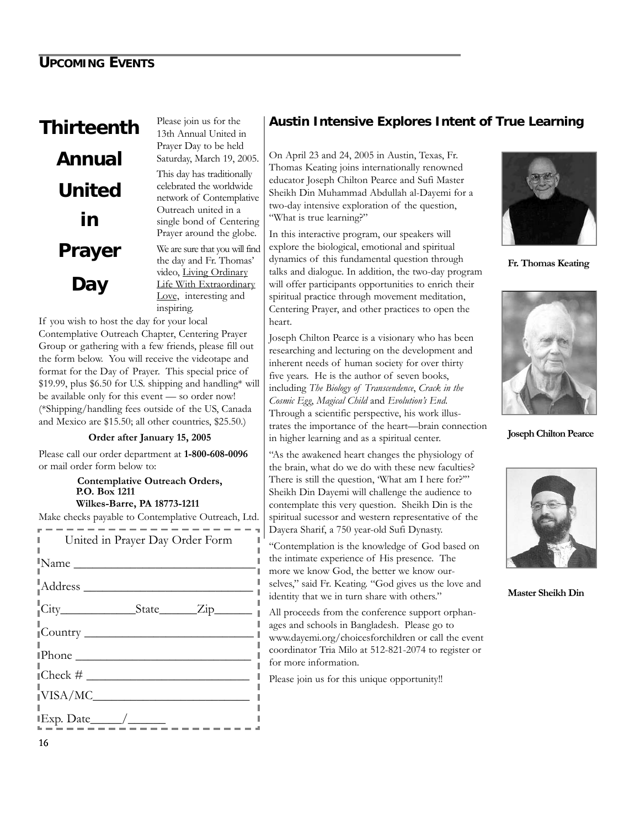# **Thirteenth Annual United in Prayer Day**

Please join us for the 13th Annual United in Prayer Day to be held Saturday, March 19, 2005. This day has traditionally celebrated the worldwide network of Contemplative Outreach united in a single bond of Centering Prayer around the globe. We are sure that you will find the day and Fr. Thomas'

video, Living Ordinary Life With Extraordinary Love, interesting and

inspiring.

If you wish to host the day for your local Contemplative Outreach Chapter, Centering Prayer Group or gathering with a few friends, please fill out the form below. You will receive the videotape and format for the Day of Prayer. This special price of \$19.99, plus \$6.50 for U.S. shipping and handling\* will be available only for this event — so order now! (\*Shipping/handling fees outside of the US, Canada and Mexico are \$15.50; all other countries, \$25.50.)

#### **Order after January 15, 2005**

Please call our order department at **1-800-608-0096** or mail order form below to:

#### **Contemplative Outreach Orders, P.O. Box 1211 Wilkes-Barre, PA 18773-1211**

Make checks payable to Contemplative Outreach, Ltd.

| l and<br>United in Prayer Day Order Form |
|------------------------------------------|
| $\blacksquare$ Name                      |
|                                          |
|                                          |
| $\frac{1}{1}$ Country                    |
| $\blacksquare$ Phone                     |
|                                          |
| $\sqrt{\text{VISA/MC}}$                  |
|                                          |
| $\sim$                                   |

#### **Austin Intensive Explores Intent of True Learning**

On April 23 and 24, 2005 in Austin, Texas, Fr. Thomas Keating joins internationally renowned educator Joseph Chilton Pearce and Sufi Master Sheikh Din Muhammad Abdullah al-Dayemi for a two-day intensive exploration of the question, "What is true learning?"

In this interactive program, our speakers will explore the biological, emotional and spiritual dynamics of this fundamental question through talks and dialogue. In addition, the two-day program will offer participants opportunities to enrich their spiritual practice through movement meditation, Centering Prayer, and other practices to open the heart.

Joseph Chilton Pearce is a visionary who has been researching and lecturing on the development and inherent needs of human society for over thirty five years. He is the author of seven books, including *The Biology of Transcendence*, *Crack in the Cosmic Egg*, *Magical Child* and *Evolution's End*. Through a scientific perspective, his work illustrates the importance of the heart—brain connection in higher learning and as a spiritual center.

"As the awakened heart changes the physiology of the brain, what do we do with these new faculties? There is still the question, 'What am I here for?'" Sheikh Din Dayemi will challenge the audience to contemplate this very question. Sheikh Din is the spiritual sucessor and western representative of the Dayera Sharif, a 750 year-old Sufi Dynasty.

"Contemplation is the knowledge of God based on the intimate experience of His presence. The more we know God, the better we know ourselves," said Fr. Keating. "God gives us the love and identity that we in turn share with others."

All proceeds from the conference support orphanages and schools in Bangladesh. Please go to www.dayemi.org/choicesforchildren or call the event coordinator Tria Milo at 512-821-2074 to register or for more information.

Please join us for this unique opportunity!!

л.

л



**Fr. Thomas Keating**



**Joseph Chilton Pearce**



**Master Sheikh Din**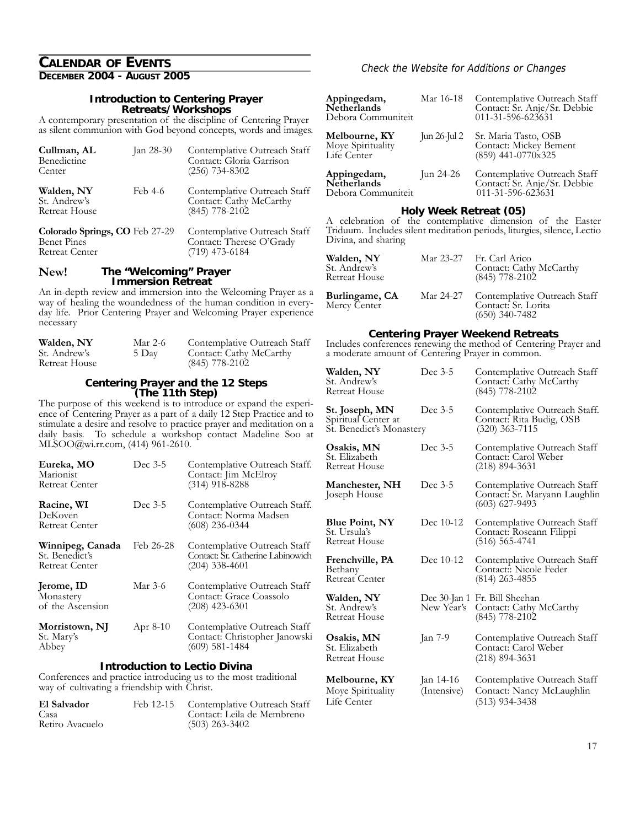## **CALENDAR OF EVENTS**

### **Introduction to Centering Prayer Retreats/Workshops**

A contemporary presentation of the discipline of Centering Prayer as silent communion with God beyond concepts, words and images.

| Cullman, AL<br>Benedictine<br>Center                                          | Jan 28-30 | Contemplative Outreach Staff<br>Contact: Gloria Garrison<br>$(256)$ 734-8302 |
|-------------------------------------------------------------------------------|-----------|------------------------------------------------------------------------------|
| Walden, NY<br>St. Andrew's<br><b>Retreat House</b>                            | Feb 4-6   | Contemplative Outreach Staff<br>Contact: Cathy McCarthy<br>$(845)$ 778-2102  |
| Colorado Springs, CO Feb 27-29<br><b>Benet Pines</b><br><b>Retreat Center</b> |           | Contemplative Outreach Staff<br>Contact: Therese O'Grady<br>$(719)$ 473-6184 |

#### **The "Welcoming" Prayer Immersion Retreat New!**

An in-depth review and immersion into the Welcoming Prayer as a way of healing the woundedness of the human condition in everyday life. Prior Centering Prayer and Welcoming Prayer experience necessary

| Walden, NY    | Mar 2-6 | Contemplative Outreach Staff |
|---------------|---------|------------------------------|
| St. Andrew's  | 5 Day   | Contact: Cathy McCarthy      |
| Retreat House |         | $(845)$ 778-2102             |

## **Centering Prayer and the 12 Steps (The 11th Step)**

The purpose of this weekend is to introduce or expand the experience of Centering Prayer as a part of a daily 12 Step Practice and to stimulate a desire and resolve to practice prayer and meditation on a daily basis. To schedule a workshop contact Madeline Soo at MLSOO@wi.rr.com, (414) 961-2610.

| Dec 3-5    | Contemplative Outreach Staff.<br>Contact: Jim McElroy<br>$(314)$ 918-8288             |
|------------|---------------------------------------------------------------------------------------|
| Dec 3-5    | Contemplative Outreach Staff.<br>Contact: Norma Madsen<br>$(608)$ 236-0344            |
| Feb 26-28  | Contemplative Outreach Staff<br>Contact: Sr. Catherine Labinowich<br>$(204)$ 338-4601 |
| Mar 3-6    | Contemplative Outreach Staff<br>Contact: Grace Coassolo<br>$(208)$ 423-6301           |
| Apr $8-10$ | Contemplative Outreach Staff<br>Contact: Christopher Janowski<br>$(609)$ 581-1484     |
|            |                                                                                       |

#### **Introduction to Lectio Divina**

Conferences and practice introducing us to the most traditional way of cultivating a friendship with Christ.

| El Salvador     | Feb 12-15 Contemplative Outreach Staff |
|-----------------|----------------------------------------|
| Casa            | Contact: Leila de Membreno             |
| Retiro Avacuelo | $(503)$ 263-3402                       |

#### **Check the Website for Additions or Changes**

| Appingedam,<br>Netherlands<br>Debora Communiteit  | Mar 16-18    | Contemplative Outreach Staff<br>Contact: Sr. Anje/Sr. Debbie<br>011-31-596-623631 |
|---------------------------------------------------|--------------|-----------------------------------------------------------------------------------|
| Melbourne, KY<br>Moye Spirituality<br>Life Center | Jun 26-Jul 2 | Sr. Maria Tasto, OSB<br>Contact: Mickey Bement<br>(859) 441-0770x325              |
| Appingedam,<br>Netherlands<br>Debora Communiteit  | Jun 24-26    | Contemplative Outreach Staff<br>Contact: Sr. Anje/Sr. Debbie<br>011-31-596-623631 |

#### **Holy Week Retreat (05)**

A celebration of the contemplative dimension of the Easter Triduum. Includes silent meditation periods, liturgies, silence, Lectio Divina, and sharing

| Walden, NY<br>St. Andrew's<br>Retreat House | Mar 23-27 Fr. Carl Arico<br>Contact: Cathy McCarthy<br>$(845)$ 778-2102           |
|---------------------------------------------|-----------------------------------------------------------------------------------|
| <b>Burlingame, CA</b><br>Mercy Center       | Mar 24-27 Contemplative Outreach Staff<br>Contact: Sr. Lorita<br>$(650)$ 340-7482 |

#### **Centering Prayer Weekend Retreats**

Includes conferences renewing the method of Centering Prayer and a moderate amount of Centering Prayer in common.

| Walden, NY<br>St. Andrew's<br><b>Retreat House</b>                | Dec 3-5                  | Contemplative Outreach Staff<br>Contact: Cathy McCarthy<br>$(845)$ 778-2102       |
|-------------------------------------------------------------------|--------------------------|-----------------------------------------------------------------------------------|
| St. Joseph, MN<br>Spiritual Center at<br>St. Benedict's Monastery | Dec 3-5                  | Contemplative Outreach Staff.<br>Contact: Rita Budig, OSB<br>$(320)$ 363-7115     |
| Osakis, MN<br>St. Elizabeth<br>Retreat House                      | Dec 3-5                  | Contemplative Outreach Staff<br>Contact: Carol Weber<br>(218) 894-3631            |
| Manchester, NH<br>Joseph House                                    | Dec 3-5                  | Contemplative Outreach Staff<br>Contact: Sr. Maryann Laughlin<br>$(603)$ 627-9493 |
| <b>Blue Point, NY</b><br>St. Ursula's<br>Retreat House            | Dec 10-12                | Contemplative Outreach Staff<br>Contact: Roseann Filippi<br>(516) 565-4741        |
| Frenchville, PA<br>Bethany<br>Retreat Center                      | Dec 10-12                | Contemplative Outreach Staff<br>Contact: Nicole Feder<br>(814) 263-4855           |
| Walden, NY<br>St. Andrew's<br>Retreat House                       | New Year's               | Dec 30-Jan 1 Fr. Bill Sheehan<br>Contact: Cathy McCarthy<br>(845) 778-2102        |
| Osakis, MN<br>St. Elizabeth<br>Retreat House                      | Jan 7-9                  | Contemplative Outreach Staff<br>Contact: Carol Weber<br>$(218)$ 894-3631          |
| Melbourne, KY<br>Moye Spirituality<br>Life Center                 | Jan 14-16<br>(Intensive) | Contemplative Outreach Staff<br>Contact: Nancy McLaughlin<br>(513) 934-3438       |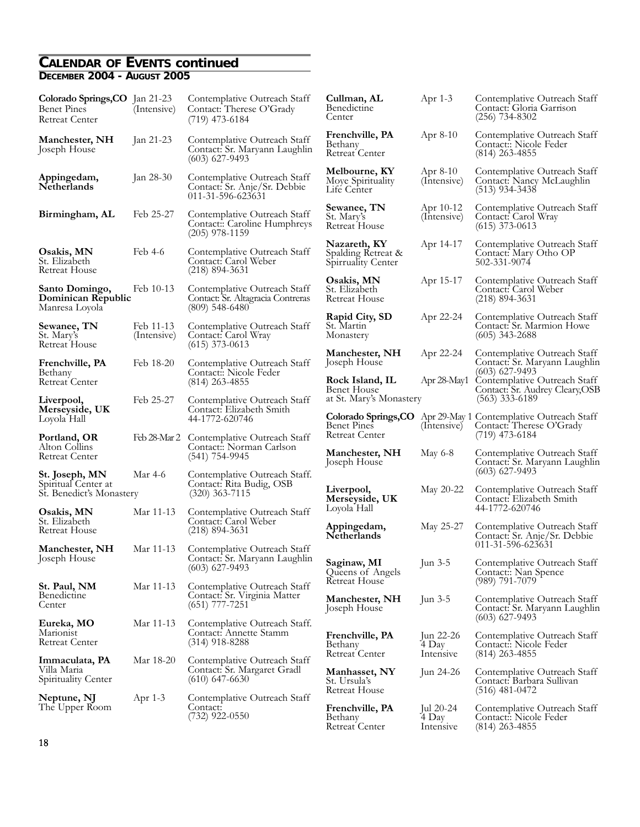#### **CALENDAR OF EVENTS continued DECEMBER 2004 - AUGUST 2005**

| Colorado Springs, CO Jan 21-23<br><b>Benet Pines</b><br><b>Retreat Center</b> | (Intensive)              | Contemplative Outreach Staff<br>Contact: Therese O'Grady<br>$(719)$ 473-6184          | Cullman, AL<br>Benedictine<br>Center                     | Apr $1-3$                         | Contemplative Outreach Staff<br>Contact: Gloria Garrison<br>$(256)$ 734-8302                                   |
|-------------------------------------------------------------------------------|--------------------------|---------------------------------------------------------------------------------------|----------------------------------------------------------|-----------------------------------|----------------------------------------------------------------------------------------------------------------|
| Manchester, NH<br>Joseph House                                                | Jan 21-23                | Contemplative Outreach Staff<br>Contact: Sr. Maryann Laughlin<br>$(603)$ 627-9493     | Frenchville, PA<br>Bethany<br>Retreat Center             | Apr $8-10$                        | Contemplative Outreach Staff<br>Contact:: Nicole Feder<br>$(814)$ 263-4855                                     |
| Appingedam,<br>Netherlands                                                    | Jan 28-30                | Contemplative Outreach Staff<br>Contact: Sr. Anje/Sr. Debbie<br>011-31-596-623631     | Melbourne, KY<br>Moye Spirituality<br>Life Center        | Apr $8-10$<br>(Intensive)         | Contemplative Outreach Staff<br>Contact: Nancy McLaughlin<br>$(513)$ 934-3438                                  |
| Birmingham, AL                                                                | Feb 25-27                | Contemplative Outreach Staff<br>Contact: Caroline Humphreys<br>$(205)$ 978-1159       | Sewanee, TN<br>St. Mary's<br>Retreat House               | Apr 10-12<br>(Intensive)          | Contemplative Outreach Staff<br>Contact: Carol Wray<br>$(615)$ 373-0613                                        |
| Osakis, MN<br>St. Elizabeth<br>Retreat House                                  | Feb 4-6                  | Contemplative Outreach Staff<br>Contact: Carol Weber<br>$(218)$ 894-3631              | Nazareth, KY<br>Spalding Retreat &<br>Spirruality Center | Apr 14-17                         | Contemplative Outreach Staff<br>Contact: Mary Otho OP<br>502-331-9074                                          |
| Santo Domingo,<br>Dominican Republic<br>Manresa Loyola                        | Feb 10-13                | Contemplative Outreach Staff<br>Contact: Sr. Altagracia Contreras<br>$(809)$ 548-6480 | Osakis, MN<br>St. Elizabeth<br>Retreat House             | Apr 15-17                         | Contemplative Outreach Staff<br>Contact: Carol Weber<br>$(218)$ 894-3631                                       |
| Sewanee, TN<br>St. Mary's<br>Retreat House                                    | Feb 11-13<br>(Intensive) | Contemplative Outreach Staff<br>Contact: Carol Wray<br>$(615)$ 373-0613               | Rapid City, SD<br>St. Martin<br>Monastery                | Apr 22-24                         | Contemplative Outreach Staff<br>Contact: Sr. Marmion Howe<br>$(605)$ 343-2688                                  |
| Frenchville, PA                                                               | Feb 18-20                | Contemplative Outreach Staff                                                          | Manchester, NH<br>Joseph House                           | Apr 22-24                         | Contemplative Outreach Staff<br>Contact: Sr. Maryann Laughlin                                                  |
| Bethany<br>Retreat Center                                                     |                          | Contact:: Nicole Feder<br>$(814)$ 263-4855                                            | Rock Island, IL<br>Benet House                           | Apr 28-May1                       | $(603)$ 627-9493<br>Contemplative Outreach Staff<br>Contact: Sr. Audrey Cleary, OSB                            |
| Liverpool,<br>Merseyside, UK                                                  | Feb 25-27                | Contemplative Outreach Staff<br>Contact: Elizabeth Smith                              | at St. Mary's Monastery                                  |                                   | $(563)$ 333-6189                                                                                               |
| Loyola Hall<br>Portland, OR                                                   | Feb 28-Mar 2             | 44-1772-620746<br>Contemplative Outreach Staff                                        | Benet Pines<br><b>Retreat Center</b>                     | (Intensive)                       | Colorado Springs, CO Apr 29-May 1 Contemplative Outreach Staff<br>Contact: Therese O'Grady<br>$(719)$ 473-6184 |
| Alton Collins<br><b>Retreat Center</b>                                        |                          | Contact:: Norman Carlson<br>$(541)$ 754-9945                                          | Manchester, NH<br>Joseph House                           | May 6-8                           | Contemplative Outreach Staff<br>Contact: Sr. Maryann Laughlin                                                  |
| Mar 4-6<br>St. Joseph, MN<br>Spiritual Center at                              |                          | Contemplative Outreach Staff.<br>Contact: Rita Budig, OSB                             |                                                          |                                   | $(603)$ 627-9493                                                                                               |
| St. Benedict's Monastery                                                      |                          | $(320)$ 363-7115                                                                      | Liverpool,<br>Merseyside, UK<br>Loyola Hall              | May 20-22                         | Contemplative Outreach Staff<br>Contact: Elizabeth Smith<br>44-1772-620746                                     |
| Osakis, MN<br>St. Elizabeth<br>Retreat House                                  | Mar 11-13                | Contemplative Outreach Staff<br>Contact: Carol Weber<br>$(218)$ 894-3631              | Appingedam,<br>Netherlands                               | May 25-27                         | Contemplative Outreach Staff<br>Contact: Sr. Anje/Sr. Debbie                                                   |
| Manchester, NH<br>Joseph House                                                | Mar 11-13                | Contemplative Outreach Staff<br>Contact: Sr. Maryann Laughlin                         |                                                          |                                   | 011-31-596-623631                                                                                              |
|                                                                               |                          | $(603)$ 627-9493                                                                      | Saginaw, MI<br>Queens of Angels<br><b>Retreat House</b>  | Jun 3-5                           | Contemplative Outreach Staff<br>Contact:: Nan Spence<br>$(989)$ 791-7079                                       |
| St. Paul, NM<br>Benedictine<br>Center                                         | Mar 11-13                | Contemplative Outreach Staff<br>Contact: Sr. Virginia Matter<br>$(651)$ 777-7251      | Manchester, NH<br>Joseph House                           | Jun $3-5$                         | Contemplative Outreach Staff<br>Contact: Sr. Maryann Laughlin                                                  |
| Eureka, MO<br>Marionist<br><b>Retreat Center</b>                              | Mar 11-13                | Contemplative Outreach Staff.<br>Contact: Annette Stamm<br>$(314)$ 918-8288           | Frenchville, PA<br>Bethany                               | Jun 22-26<br>4 Day                | $(603)$ 627-9493<br>Contemplative Outreach Staff<br>Contact:: Nicole Feder                                     |
| Immaculata, PA<br>Villa Maria<br>Spirituality Center                          | Mar 18-20                | Contemplative Outreach Staff<br>Contact: Sr. Margaret Gradl<br>$(610)$ 647-6630       | Retreat Center<br>Manhasset, NY<br>St. Ursula's          | Intensive<br>Jun 24-26            | $(814)$ 263-4855<br>Contemplative Outreach Staff<br>Contact: Barbara Sullivan                                  |
| Neptune, NJ                                                                   | Apr $1-3$                | Contemplative Outreach Staff                                                          | Retreat House                                            |                                   | $(516)$ 481-0472                                                                                               |
| The Upper Room                                                                |                          | Contact:<br>$(732)$ 922-0550                                                          | Frenchville, PA<br>Bethany<br>Retreat Center             | Jul $20-24$<br>4 Day<br>Intensive | Contemplative Outreach Staff<br>Contact: Nicole Feder<br>$(814)$ 263-4855                                      |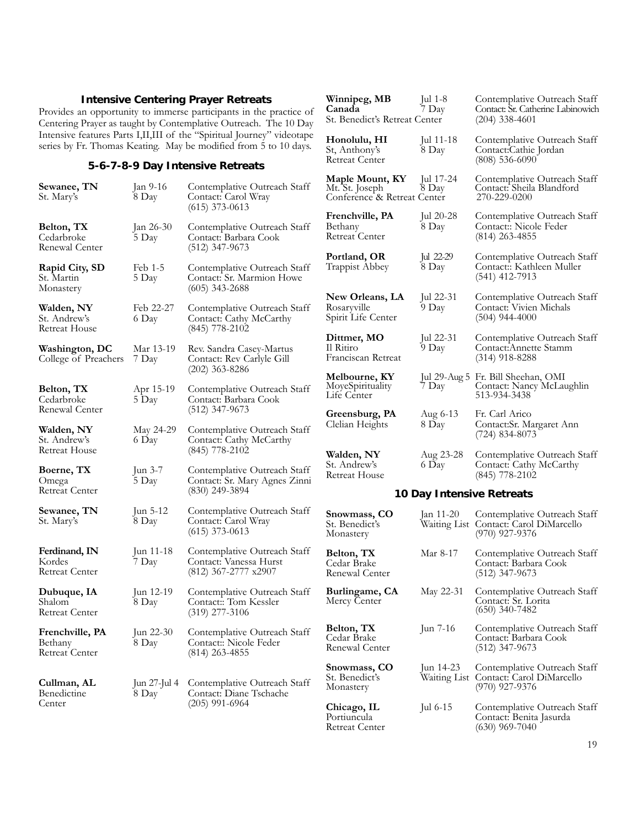#### **Intensive Centering Prayer Retreats**

Provides an opportunity to immerse participants in the practice of Centering Prayer as taught by Contemplative Outreach. The 10 Day Intensive features Parts I,II,III of the "Spiritual Journey" videotape series by Fr. Thomas Keating. May be modified from 5 to 10 days.

#### **5-6-7-8-9 Day Intensive Retreats**

| Sewanee, TN<br>St. Mary's                           | Jan 9-16<br>8 Day          | Contemplative Outreach Staff<br>Contact: Carol Wray<br>$(615)$ 373-0613         | Mt. S<br>Conf                   |
|-----------------------------------------------------|----------------------------|---------------------------------------------------------------------------------|---------------------------------|
| Belton, TX<br>Cedarbroke<br>Renewal Center          | $\tan 26 - 30$<br>5 Day    | Contemplative Outreach Staff<br>Contact: Barbara Cook<br>(512) 347-9673         | Fren<br>Betha<br>Retre<br>Portl |
| Rapid City, SD<br>St. Martin<br>Monastery           | Feb 1-5<br>5 Day           | Contemplative Outreach Staff<br>Contact: Sr. Marmion Howe<br>$(605)$ 343-2688   | Trap<br>New                     |
| Walden, NY<br>St. Andrew's<br>Retreat House         | Feb 22-27<br>6 Day         | Contemplative Outreach Staff<br>Contact: Cathy McCarthy<br>(845) 778-2102       | Rosai<br>Spirit<br>Dittr        |
| Washington, DC<br>College of Preachers              | Mar 13-19<br>7 Day         | Rev. Sandra Casey-Martus<br>Contact: Rev Carlyle Gill<br>(202) 363-8286         | Il Rit<br>Franc<br>Melt         |
| Belton, TX<br>Cedarbroke<br>Renewal Center          | Apr 15-19<br>5 Day         | Contemplative Outreach Staff<br>Contact: Barbara Cook<br>(512) 347-9673         | Моує<br>Life (<br>Gree          |
| Walden, NY<br>St. Andrew's<br>Retreat House         | May 24-29<br>6 Day         | Contemplative Outreach Staff<br>Contact: Cathy McCarthy<br>(845) 778-2102       | Clelia<br>Wald                  |
| Boerne, TX<br>Omega<br>Retreat Center               | $\tan 3-7$<br>5 Day        | Contemplative Outreach Staff<br>Contact: Sr. Mary Agnes Zinni<br>(830) 249-3894 | St. A<br>Retre                  |
| Sewanee, TN<br>St. Mary's                           | $\mu$ n 5-12<br>8 Day      | Contemplative Outreach Staff<br>Contact: Carol Wray<br>(615) 373-0613           | Snov<br>St. B<br>Mona           |
| Ferdinand, IN<br>Kordes<br>Retreat Center           | Jun 11-18<br>7 Day         | Contemplative Outreach Staff<br>Contact: Vanessa Hurst<br>(812) 367-2777 x2907  | Belto<br>Ceda<br>Rene           |
| Dubuque, IA<br>Shalom<br><b>Retreat Center</b>      | Jun 12-19<br>8 Day         | Contemplative Outreach Staff<br>Contact: Tom Kessler<br>(319) 277-3106          | Burli<br>Merc                   |
| Frenchville, PA<br>Bethany<br><b>Retreat Center</b> | Jun 22-30<br>8 Day         | Contemplative Outreach Staff<br>Contact:: Nicole Feder<br>$(814)$ 263-4855      | Belto<br>Ceda<br>Rene           |
| Cullman, AL<br>Benedictine<br>Center                | $\tan 27 - \ln 4$<br>8 Day | Contemplative Outreach Staff<br>Contact: Diane Tschache                         | Snov<br>St. B<br>Mona           |
|                                                     |                            | (205) 991-6964                                                                  | Chic                            |

|                           | Winnipeg, MB<br>Canada<br>St. Benedict's Retreat Center          | Jul 1-8<br>7 Day          | Contemplative Outreach Staff<br>Contact: Sr. Catherine Labinowich<br>$(204)$ 338-4601 |  |
|---------------------------|------------------------------------------------------------------|---------------------------|---------------------------------------------------------------------------------------|--|
|                           | Honolulu, HI<br>St, Anthony's<br><b>Retreat Center</b>           | Jul $11-18$<br>8 Day      | Contemplative Outreach Staff<br>Contact:Cathie Jordan<br>$(808)$ 536-6090             |  |
|                           | Maple Mount, KY<br>Mt. St. Joseph<br>Conference & Retreat Center | Jul $17-24$<br>8 Day      | Contemplative Outreach Staff<br>Contact: Sheila Blandford<br>270-229-0200             |  |
|                           | Frenchville, PA<br>Bethany<br><b>Retreat Center</b>              | Jul 20-28<br>8 Day        | Contemplative Outreach Staff<br>Contact:: Nicole Feder<br>$(814)$ 263-4855            |  |
|                           | Portland, OR<br>Trappist Abbey                                   | Jul 22-29<br>8 Day        | Contemplative Outreach Staff<br>Contact:: Kathleen Muller<br>$(541)$ 412-7913         |  |
|                           | New Orleans, LA<br>Rosaryville<br>Spirit Life Center             | Jul 22-31<br>9 Day        | Contemplative Outreach Staff<br>Contact: Vivien Michals<br>$(504)$ 944-4000           |  |
|                           | Dittmer, MO<br>Il Ritiro<br>Franciscan Retreat                   | Jul 22-31<br>9 Day        | Contemplative Outreach Staff<br>Contact: Annette Stamm<br>$(314)$ 918-8288            |  |
|                           | Melbourne, KY<br>MoyeSpirituality<br>Life Center                 | $ ul$ 29-Aug 5<br>7 Day   | Fr. Bill Sheehan, OMI<br>Contact: Nancy McLaughlin<br>513-934-3438                    |  |
|                           | Greensburg, PA<br>Clelian Heights                                | Aug 6-13<br>8 Day         | Fr. Carl Arico<br>Contact:Sr. Margaret Ann<br>$(724)$ 834-8073                        |  |
|                           | Walden, NY<br>St. Andrew's<br><b>Retreat House</b>               | Aug 23-28<br>6 Day        | Contemplative Outreach Staff<br>Contact: Cathy McCarthy<br>$(845)$ 778-2102           |  |
| 10 Day Intensive Retreats |                                                                  |                           |                                                                                       |  |
|                           | Snowmass, CO<br>St. Benedict's<br>Monastery                      | Jan 11-20<br>Waiting List | Contemplative Outreach Staff<br>Contact: Carol DiMarcello<br>$(970)$ 927-9376         |  |

|             | Waiting List Contact: Carol DiMarcello<br>$(970)$ 927-9376                    |
|-------------|-------------------------------------------------------------------------------|
| Mar 8-17    | Contemplative Outreach Staff<br>Contact: Barbara Cook<br>$(512)$ 347-9673     |
| May 22-31   | Contemplative Outreach Staff<br>Contact: Sr. Lorita<br>$(650)$ 340-7482       |
| Jun 7-16    | Contemplative Outreach Staff<br>Contact: Barbara Cook<br>$(512)$ 347-9673     |
| Jun $14-23$ | Contemplative Outreach Staff<br>Contact: Carol DiMarcello<br>$(970)$ 927-9376 |
| Jul $6-15$  | Contemplative Outreach Staff<br>Contact: Benita Jasurda<br>$(630)$ 969-7040   |
|             | Waiting List                                                                  |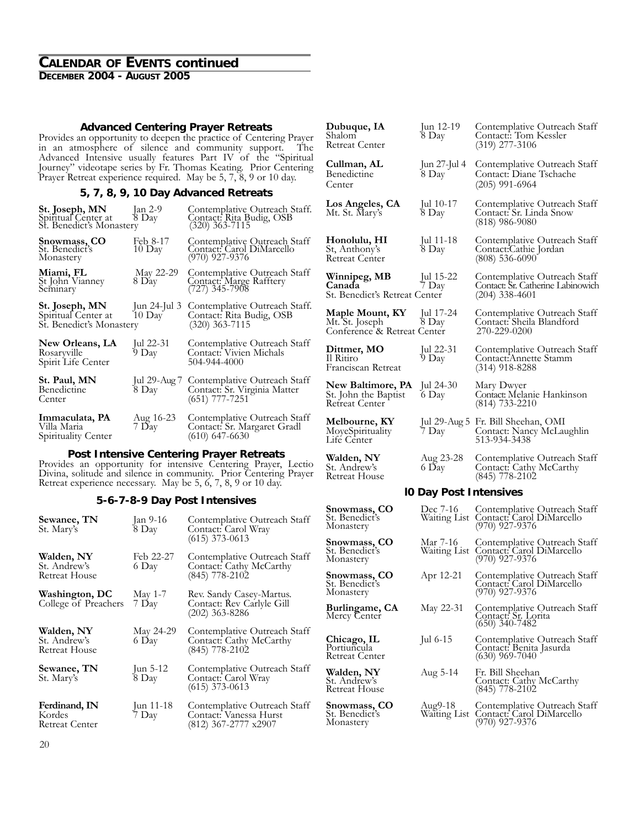#### **CALENDAR OF EVENTS continued DECEMBER 2004 - AUGUST 2005**

#### **Advanced Centering Prayer Retreats**

Provides an opportunity to deepen the practice of Centering Prayer in an atmosphere of silence and community support. The Advanced Intensive usually features Part IV of the "Spiritual Journey" videotape series by Fr. Thomas Keating. Prior Centering Prayer Retreat experience required. May be 5, 7, 8, 9 or 10 day.

#### **5, 7, 8, 9, 10 Day Advanced Retreats**

| St. Joseph, MN<br>Spiritual Center at<br>St. Benedict's Monastery | Jan 2-9<br>8 Day                      | Contemplative Outreach Staff.<br>Contact: Rita Budig, OSB<br>(320) 363-7115      |
|-------------------------------------------------------------------|---------------------------------------|----------------------------------------------------------------------------------|
| Snowmass, CO<br>St. Benedict's<br>Monastery                       | Feb 8-17<br>10 Day                    | Contemplative Outreach Staff<br>Contact: Carol DiMarcello<br>(970) 927-9376      |
| Miami, FL<br>St John Vianney<br>Seminary                          | May 22-29<br>8 Day                    | Contemplative Outreach Staff<br>Contact: Marge Rafftery<br>$(727)$ 345-7908      |
| St. Joseph, MN<br>Spiritual Center at<br>St. Benedict's Monastery | $\tan 24 - \ln 3$<br>$10 \text{ Day}$ | Contemplative Outreach Staff.<br>Contact: Rita Budig, OSB<br>(320) 363-7115      |
| New Orleans, LA<br>Rosaryville<br>Spirit Life Center              | Jul 22-31<br>9 Day                    | Contemplative Outreach Staff<br>Contact: Vivien Michals<br>504-944-4000          |
| St. Paul, MN<br>Benedictine<br>Center                             | Jul 29-Aug 7<br>8 Day                 | Contemplative Outreach Staff<br>Contact: Sr. Virginia Matter<br>$(651)$ 777-7251 |
| Immaculata, PA<br>Villa Maria<br>Spirituality Center              | Aug 16-23<br>7 Day                    | Contemplative Outreach Staff<br>Contact: Sr. Margaret Gradl<br>$(610)$ 647-6630  |

**Post Intensive Centering Prayer Retreats** Provides an opportunity for intensive Centering Prayer, Lectio Divina, solitude and silence in community. Prior Centering Prayer Retreat experience necessary. May be 5, 6, 7, 8, 9 or 10 day.

#### **5-6-7-8-9 Day Post Intensives**

| Sewanee, TN<br>St. Mary's                   | Jan 9-16<br>8 Day      | Contemplative Outreach Staff<br>Contact: Carol Wray<br>$(615)$ 373-0613        | St. Be<br>Mona<br>Snow           |
|---------------------------------------------|------------------------|--------------------------------------------------------------------------------|----------------------------------|
| Walden, NY<br>St. Andrew's<br>Retreat House | Feb 22-27<br>6 Day     | Contemplative Outreach Staff<br>Contact: Cathy McCarthy<br>(845) 778-2102      | St. Be<br>Mona<br>Snow<br>St. Be |
| Washington, DC                              | May $1-7$              | Rev. Sandy Casey-Martus.                                                       | Mona                             |
| College of Preachers                        | 7 Day                  | Contact: Rev Carlyle Gill<br>$(202)$ 363-8286                                  | Burlii<br>Mercy                  |
| Walden, NY<br>St. Andrew's<br>Retreat House | May 24-29<br>6 Day     | Contemplative Outreach Staff<br>Contact: Cathy McCarthy<br>$(845)$ 778-2102    | Chica<br>Portiu<br>Retrea        |
| Sewanee, TN<br>St. Mary's                   | Jun $5-12$<br>8 Day    | Contemplative Outreach Staff<br>Contact: Carol Wray<br>$(615)$ 373-0613        | Waldo<br>St. Ar<br>Retrea        |
| Ferdinand, IN<br>Kordes<br>Retreat Center   | $\mu n 11-18$<br>7 Day | Contemplative Outreach Staff<br>Contact: Vanessa Hurst<br>(812) 367-2777 x2907 | Snow<br>St. Be<br>Mona           |
|                                             |                        |                                                                                |                                  |

| Dubuque, IA<br>Shalom<br><b>Retreat Center</b>                   | $\mu$ n 12-19<br>8 Day        | Contemplative Outreach Staff<br>Contact:: Tom Kessler<br>$(319)$ 277-3106                |
|------------------------------------------------------------------|-------------------------------|------------------------------------------------------------------------------------------|
| Cullman, AL<br><b>Benedictine</b><br>Center                      | Jun 27-Jul 4<br>8 Day         | Contemplative Outreach Staff<br>Contact: Diane Tschache<br>$(205)$ 991-6964              |
| Los Angeles, CA<br>Mt. St. Mary's                                | Jul $10-17$<br>8 Day          | Contemplative Outreach Staff<br>Contact: Sr. Linda Snow<br>$(818)$ 986-9080              |
| Honolulu, HI<br>St, Anthony's<br>Retreat Center                  | Jul $11-18$<br>8 Day          | Contemplative Outreach Staff<br>Contact:Cathie Jordan<br>$(808)$ 536-6090                |
| Winnipeg, MB<br>Canada<br>St. Benedict's Retreat Center          | Jul 15-22<br>7 Day            | Contemplative Outreach Staff<br>Contact: Sr. Catherine Labinowich<br>$(204)$ 338-4601    |
| Maple Mount, KY<br>Mt. St. Joseph<br>Conference & Retreat Center | Jul 17-24<br>8 Day            | Contemplative Outreach Staff<br>Contact: Sheila Blandford<br>270-229-0200                |
| Dittmer, MO<br>Il Ritiro<br>Franciscan Retreat                   | Jul 22-31<br>9 Day            | Contemplative Outreach Staff<br>Contact: Annette Stamm<br>(314) 918-8288                 |
| New Baltimore, PA<br>St. John the Baptist<br>Retreat Center      | $ ul$ 24-30<br>6 Day          | Mary Dwyer<br>Contact: Melanie Hankinson<br>$(814)$ 733-2210                             |
| Melbourne, KY<br>MoyeSpirituality<br>Life Center                 | 7 Day                         | Jul 29-Aug 5 Fr. Bill Sheehan, OMI<br>Contact: Nancy McLaughlin<br>513-934-3438          |
| Walden, NY<br>St. Andrew's<br>Retreat House                      | Aug 23-28<br>6 Day            | Contemplative Outreach Staff<br>Contact: Cathy McCarthy<br>(845) 778-2102                |
|                                                                  | <b>IO Day Post Intensives</b> |                                                                                          |
| <b>Snowmass, CO</b><br>St. Benedict's<br>Monastery               | Dec $/$ -16                   | Contemplative Outreach Staff<br>Waiting List Contact: Carol DiMarcello<br>(970) 927-9376 |
| Snowmass, CO<br>St. Benedict´s<br>Monastery                      | Mar 7-16<br>Waiting List      | Contemplative Outreach Staff<br>Contact: Carol DiMarcello<br>$(970)$ 927-9376            |
| Snowmass, CO<br>St. Benedict's<br>Monastery                      | Apr 12-21                     | Contemplative Outreach Staff<br>Contact: Carol DiMarcello<br>$(970)$ 927-9376            |
| Burlingame, CA<br>Mercy Center                                   | May 22-31                     | Contemplative Outreach Staff<br>Contact: Sr. Lorita<br>$(650)$ 340-7482                  |
| Chicago, IL<br>Portiuncula<br>Retreat Center                     | Jul $6-15$                    | Contemplative Qutreach Staff<br>Contact: Benita Jasurda<br>$(630)$ 969-7040              |
| Walden, NY<br>St. Andrew's<br>Retreat House                      | Aug 5-14                      | Fr. Bill Sheehan<br>Contact: Cathy McCarthy<br>$(845)$ 778-2102                          |
| Snowmass, CO<br>St. Benedict's<br>Monastery                      | Aug9-18<br>Waiting List       | Contemplative Outreach Staff<br>Contact: Carol DiMarcello<br>(970) 927-9376              |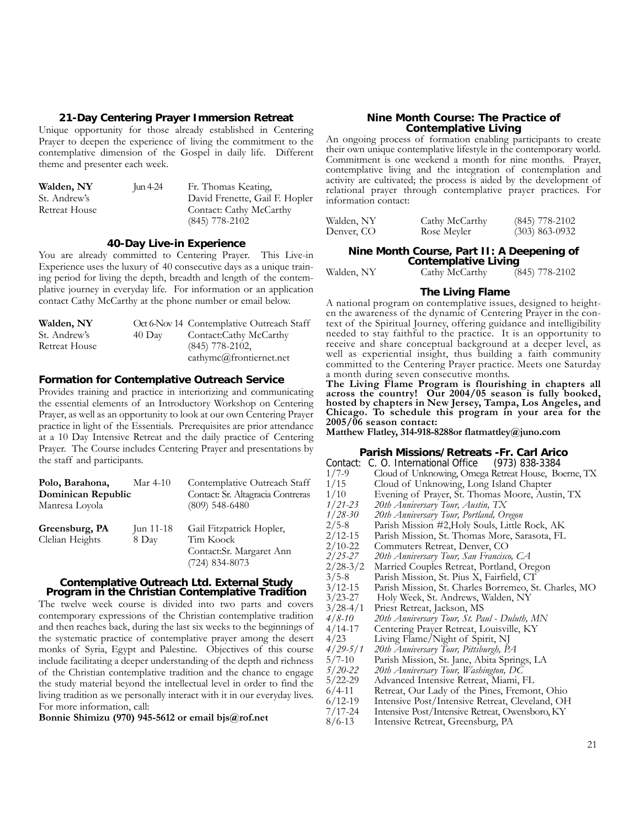#### **21-Day Centering Prayer Immersion Retreat**

Unique opportunity for those already established in Centering Prayer to deepen the experience of living the commitment to the contemplative dimension of the Gospel in daily life. Different theme and presenter each week.

| Walden, NY    | Jun $4-24$ | Fr. Thomas Keating,            |
|---------------|------------|--------------------------------|
| St. Andrew's  |            | David Frenette, Gail F. Hopler |
| Retreat House |            | Contact: Cathy McCarthy        |
|               |            | $(845)$ 778-2102               |

#### **40-Day Live-in Experience**

You are already committed to Centering Prayer. This Live-in Experience uses the luxury of 40 consecutive days as a unique training period for living the depth, breadth and length of the contemplative journey in everyday life. For information or an application contact Cathy McCarthy at the phone number or email below.

| Walden, NY    |                  | Oct 6-Nov 14 Contemplative Outreach Staff |
|---------------|------------------|-------------------------------------------|
| St. Andrew's  | $40 \text{ Day}$ | Contact:Cathy McCarthy                    |
| Retreat House |                  | $(845)$ 778-2102,                         |
|               |                  | cathymc@frontiernet.net                   |

#### **Formation for Contemplative Outreach Service**

Provides training and practice in interiorizing and communicating the essential elements of an Introductory Workshop on Centering Prayer, as well as an opportunity to look at our own Centering Prayer practice in light of the Essentials. Prerequisites are prior attendance at a 10 Day Intensive Retreat and the daily practice of Centering Prayer. The Course includes Centering Prayer and presentations by the staff and participants.

| Polo, Barahona,    | Mar $4-10$ | Contemplative Outreach Staff      |  |
|--------------------|------------|-----------------------------------|--|
| Dominican Republic |            | Contact: Sr. Altagracia Contreras |  |
| Manresa Loyola     |            | $(809)$ 548-6480                  |  |
| Greensburg, PA     | Jun 11-18  | Gail Fitzpatrick Hopler,          |  |
| Clelian Heights    | 8 Day      | Tim Koock                         |  |
|                    |            | Contact:Sr. Margaret Ann          |  |
|                    |            | $(724)$ 834-8073                  |  |

### **Contemplative Outreach Ltd. External Study Program in the Christian Contemplative Tradition**

The twelve week course is divided into two parts and covers contemporary expressions of the Christian contemplative tradition and then reaches back, during the last six weeks to the beginnings of the systematic practice of contemplative prayer among the desert monks of Syria, Egypt and Palestine. Objectives of this course include facilitating a deeper understanding of the depth and richness of the Christian contemplative tradition and the chance to engage the study material beyond the intellectual level in order to find the living tradition as we personally interact with it in our everyday lives. For more information, call:

**Bonnie Shimizu (970) 945-5612 or email bjs@rof.net**

#### **Nine Month Course: The Practice of Contemplative Living**

An ongoing process of formation enabling participants to create their own unique contemplative lifestyle in the contemporary world. Commitment is one weekend a month for nine months. Prayer, contemplative living and the integration of contemplation and activity are cultivated; the process is aided by the development of relational prayer through contemplative prayer practices. For information contact:

| Walden, NY | Cathy McCarthy | $(845)$ 778-2102 |
|------------|----------------|------------------|
| Denver, CO | Rose Meyler    | $(303)$ 863-0932 |

#### **Nine Month Course, Part II: A Deepening of Contemplative Living**

Walden, NY Cathy McCarthy (845) 778-2102

#### **The Living Flame**

A national program on contemplative issues, designed to heighten the awareness of the dynamic of Centering Prayer in the context of the Spiritual Journey, offering guidance and intelligibility needed to stay faithful to the practice. It is an opportunity to receive and share conceptual background at a deeper level, as well as experiential insight, thus building a faith community committed to the Centering Prayer practice. Meets one Saturday a month during seven consecutive months.

**The Living Flame Program is flourishing in chapters all across the country! Our 2004/05 season is fully booked, hosted by chapters in New Jersey, Tampa, Los Angeles, and Chicago. To schedule this program in your area for the 2005/06 season contact:**

**Matthew Flatley, 314-918-8288or flatmattley@juno.com**

#### **Parish Missions/Retreats -Fr. Carl Arico**

| Contact:     | C. O. International Office (973) 838-3384             |
|--------------|-------------------------------------------------------|
| $1/7 - 9$    | Cloud of Unknowing, Omega Retreat House, Boerne, TX   |
| 1/15         | Cloud of Unknowing, Long Island Chapter               |
| 1/10         | Evening of Prayer, St. Thomas Moore, Austin, TX       |
| 1/21-23      | 20th Anniversary Tour, Austin, TX                     |
| $1/28 - 30$  | 20th Anniversary Tour, Portland, Oregon               |
| $2/5 - 8$    | Parish Mission #2, Holy Souls, Little Rock, AK        |
| $2/12 - 15$  | Parish Mission, St. Thomas More, Sarasota, FL         |
| $2/10 - 22$  | Commuters Retreat, Denver, CO                         |
| $2/25 - 27$  | 20th Anniversary Tour, San Francisco, CA              |
| $2/28-3/2$   | Married Couples Retreat, Portland, Oregon             |
| $3/5 - 8$    | Parish Mission, St. Pius X, Fairfield, CT             |
| $3/12 - 15$  | Parish Mission, St. Charles Borremeo, St. Charles, MO |
| $3/23 - 27$  | Holy Week, St. Andrews, Walden, NY                    |
| $3/28 - 4/1$ | Priest Retreat, Jackson, MS                           |
| $4/8 - 10$   | 20th Anniversary Tour, St. Paul - Duluth, MN          |
| 4/14-17      | Centering Prayer Retreat, Louisville, KY              |
| 4/23         | Living Flame/Night of Spirit, NJ                      |
| $4/29 - 5/1$ | 20th Anniversary Tour, Pittsburgh, PA                 |
| $5/7 - 10$   | Parish Mission, St. Jane, Abita Springs, LA           |
| $5/20 - 22$  | 20th Anniversary Tour, Washington, DC                 |
| $5/22 - 29$  | Advanced Intensive Retreat, Miami, FL                 |
| $6/4 - 11$   | Retreat, Our Lady of the Pines, Fremont, Ohio         |
| $6/12-19$    | Intensive Post/Intensive Retreat, Cleveland, OH       |

- 
- 7/17-24 Intensive Post/Intensive Retreat, Owensboro, KY Intensive Retreat, Greensburg, PA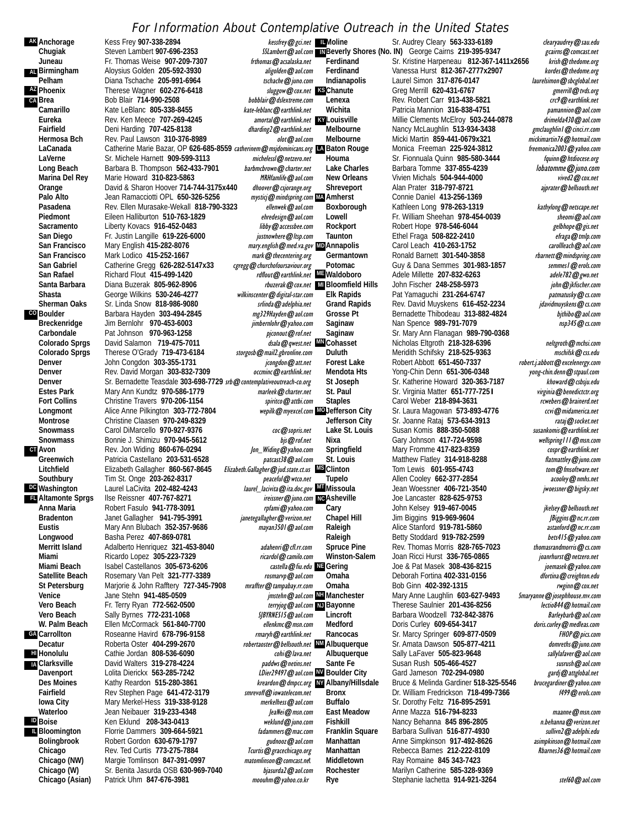#### For Information About Contemplative Outreach in the United States

**AK** Anchorage **AL** Birmingham **AZ CA** Brea **CO** Boulder **CT** Avon **DC** Washington **FL** Altamonte Sprgs **GA** Carrollton **H**II Honolulu **IA ID IL** Bloomington

Kess Frey **907-338-2894 Chugiak** Steven Lambert 907-696-2353 **Juneau** Fr. Thomas Weise 907-209-7307 Freedomas **@** acsalaska.net **Birmingham** Aloysius Golden **205-592-3930** aligolden@aol.com **Pelham** Diana Tschache **205-991-6964** tschache@juno.com **Phoenix** Therese Wagner **602-276-6418** sluggow@cox.net<br>Primac Bob Blair 714-990-2508 sluggow bobblair@dslextreme.com Bob Blair **714-990-2508 Camarillo** Kate LeBlanc **805-338-8455** kate-leblanc@earthlink.net Eureka **Rev. Ken Meece 707-269-4245** amortal@earthlink.net Rev. Ken Meece 707-269-4245<br>Fairfield **Burgen Beat Accorde 127-425-8138** *aharding2@earthlink.net* **Fairfield** Deni Harding **707-425-8138**<br> **Hermosa Bch** Rev. Paul Lawson 310-376-8 Hermosa Bch Rev. Paul Lawson **310-376-8989** and and all and an all and an all and an all and an all and an all a<br>LaCanada **catherine Marie Bazar, OP 626-685-8559** catherinem **@** msidominicans.org **LaCanada** Catherine Marie Bazar, OP **626-685-8559** catherinem@msjdominicans.org **LA LaVerne** Sr. Michele Harnett **909-599-3113** michelessl@netzero.net Long Beach Barbara B. Thompson 562-433-7901 barbmcbrown@charter.net Marina Del Rey Marie Howard 310-823-5863 MRHfamlife@aol.com **Orange** David & Sharon Hoover 714-744-3175x440 *dhoover@csjorange.org*<br>Palo Alto **Brange Lean Ramacciotti OPL 650-326-5256** myttici@mindspring.com Palo Alto Jean Ramacciotti OPL 650-326-5256 *mysticj@mindspring.com*<br>Pasadena Rev. Ellen Murasake-Wekall 818-790-3323 *ellenwek@aol.com* Rev. Ellen Murasake-Wekall 818-790-3323 Piedmont **Eileen Halliburton 510-763-1829** ehredesign@aol.com Sacramento Liberty Kovacs 916-452-0483 libby@accessbee.com **San Diego** Fr. Justin Langille **619-226-6000** *justnowhere @ltsp.com*<br>
San Francisco Mary English 415-282-8076 *mary english @ med.va.gov* **Mary English 415-282-8076** San Francisco Mark Lodico 415-252-1667<br>
San Gabriel Catherine Gregg 626-282-5147x33 cgregg@churchofoursaviour.org Catherine Gregg **626-282-5147x33** San Rafael **Richard Flout 415-499-1420 rdflout@earthlink.net Santa Barbara** Diana Buzerak 805-962-8906 **Shasta** George Wilkins **530-246-4277** wilkinscenter@digital-star.com **Sr. Linda Snow 818-986-9080** Boulder **Barbara Hayden 303-494-2845** mg329Hayden@aol.com<br>Breckenridge Jim Bernlohr 970-453-6003 mhernlohr@yahoo.com **Breckenridge** Jim Bernlohr **970-453-6003** jimbernlohr@yahoo.com<br>Carbondale Pat Johnson **970-963-1258** piconout@rof.net **Carbondale** Pat Johnson **970-963-1258**<br>**Colorado Sprgs** David Salamon **719-475-70** Colorado Sprgs David Salamon 719-475-7011 dsala@qwest.net<br>Colorado Sprgs Therese O'Grady 719-473-6184 storgosb@mail2.gbronline.com Therese O'Grady **719-473-6184** storgosb@mail2.gbronline.com<br>John Congdon 303-355-1731 *icongdon@att.net* **Denver** John Congdon **303-355-1731 Denver** Rev. David Morgan **303-832-7309** occminc@earthlink.net **Denver** Sr. Bernadette Teasdale **303-698-7729** *srb@contemplativeoutreach-co.org*<br>
Estes Park Mary Ann Kundtz 970-586-1779 **Estes Park** Mary Ann Kundtz **970-586-1779** marleek@charter.net Fort Collins Christine Travers 970-206-1154 **spiritco@attbi.com** Longmont Alice Anne Pilkington **303-772-7804 Montrose** Christine Claasen **970-249-8329** Snowmass Carol DiMarcello 970-927-9376 coc@sopris.net **Snowmass Bonnie J. Shimizu 970-945-5612** bjs@rof.net bismine J. Shimizu 970-945-5612 bg *blame* bismine Rev. Jon Widing 860-676-0294 **Avon** Rev. Jon Widing **860-676-0294**<br>Greenwich Patricia Castellano. 203-531-652 Patricia Castellano **203-531-6528** patcast38@aol.com Litchfield **Elizabeth Gallagher 860-567-8645 Southbury Tim St. Onge 203-262-8317** *peaceful@wtco.net* Laurel LaCivita **202-482-4243 Altamonte Sprgs** Ilse Reissner 407-767-8271<br>**Anna Maria** Robert Fasulo. 941-778-309 Robert Fasulo 941-778-3091 rpfami@yahoo.com **Bradenton** Janet Gallagher **941-795-3991** janetegallagher@verizon.net **Mary Ann Blubach 352-357-9686 Longwood** Basha Perez **407-869-0781** Adalberto Henriquez **321-453-8040** adahenri@cfl.rr.com **Miami** Ricardo Lopez **305-223-7329** ricardol@camilo.com Miami Beach Isabel Castellanos **305-673-6206 Satellite Beach** Rosemary Van Pelt **321-777-3389** rosmarvp@aol.com **St Petersburg Marjorie & John Rafftery 727-345-7908**<br>**Venice Material Maters Stehn 941-485-0509 Venice** Jane Stehn **941-485-0509**<br>**Vero Beach** Fr Terry Ryan 772-562-05 **Fr. Terry Ryan 772-562-0500** Vero Beach Sally Byrnes 772-231-1068 SJBYRNES15@aol.com W. Palm Beach Ellen McCormack 561-840-7700 ellenkmc@msn.com **Carrollton** Roseanne Havird **678-796-9158** *rmaryh@earthlink.net*<br>Roberta Oster 404-299-2670 *robertanster@bellsouth.net* Decatur
Roberta Oster 404-299-2670<br>
robertaoster@bellsouth.net Cathie Jordan **808-536-6090** cohi@lava.net **Clarksville** David Walters **319-278-4224** paddws@netins.net **Davenport** Lolita Dierickx **563-285-7242**<br>Des Moines Kathy Reardon, 515-280-3861 **Des Moines** Kathy Reardon **515-280-3861** kreardon@dmpcc.org **Rev Stephen Page 641-472-3179 Iowa City Mary Merkel-Hess 319-338-9128** merkelhess@aol.com<br>Waterloo Jean Neibauer 319-233-4348 Jean Neibauer **319-233-4348** Jean Meibauer **319-233-4348 Boise** Ken Eklund **208-343-0413** weklund@juno.com **Florrie Dammers 309-664-5921** fadammers @mac.com **Bolingbrook** Robert Gordon 630-679-1797 **bitter and Solid and Solid Cordon**<br>Chicago **Rev. Ted Curtis 773-275-7884** *Trurtis@gracechicago.org* **Rev. Ted Curtis 773-275-7884 Chicago (NW)** Margie Tomlinson **847-391-0997** matomlinson@comcast.net **Chicago (W)** Sr. Benita Jasurda OSB 630-969-7040 *bjasurda2@aol.com*<br>Chicago (Asian) Patrick Uhm 847-676-3981 *moouhm@yahoo.co.kr* Patrick Uhm 847-676-3981 moouhm@yahoo.co.kr

kessfrey@gci.net LMoline sluggow@cox.net **KS**Chanute amortal@earthlink.net **KY** Louisville mysticj@mindspring.com MAA Amherst mary.english@med.va.gov **MD**Annapolis **ME** Waldoboro Elizabeth.Gallagher@jud.state.ct.us **MS** Clinton laurel\_lacivita@ita.doc.gov **MI**Missoula castella@fiu.edu **NE** Gering *imstehn@aol.com* NH Manchester ireissner@juno.com NGAsheville terryjog@aol.com NJ Bayonne LDier29497@aol.com W Boulder City kreardon@dmpcc.org WAlbany/Hillsdale rbuzerak@cox.net MI Bloomfield Hills dsala@qwest.net WWCohasset wepilk@myexcel.com MOJefferson Citv

Sr. Audrey Cleary 563-333-6189 clearyaudrey@sau.edu **IN**Beverly Shores (No. IN) George Cairns 219-395-9347 *gcairns@comcast.net* **Ferdinand** Sr. Kristine Harpeneau 812-367-1411x2656 krish@thedome.org **Ferdinand** Vanessa Hurst **812-367-2777x2907** *kordes@thedome.org*<br> **Indianapolis** Laurel Simon 317-876-0147 *laurelsimon@sbcglobal.net* Laurel Simon **317-876-0147** laurelsimon@sbcglobal.net<br>Greg Merrill 620-431-6767 merrill@tvds.org **Chanute** Greg Merrill 620-431-6767 Green and the energies of the energies of the energies of the energies of the<br> **Canexa** Gev. Robert Carr 913-438-5821 Canexa and the energies of the energies of the energies of the energ **Rev. Robert Carr 913-438-5821 Wichita** Patricia Mannion **316-838-4751** pamannion@aol.com Millie Clements McElroy **503-244-0878 Melbourne** Nancy McLaughlin **513-934-3438** gmclaughlin1@cinci.rr.com Micki Martin 859-441-0679x321 mickimartin76@hotmail.com<br>Monica Freeman 225-924-3812 freemonica2003@yahoo.com **Monica Freeman 225-924-3812** Houma **Br. Fionnuala Quinn 985-580-3444** fquinn @htdiocese.org<br>
Lake Charles Barbara Tomme 337-855-4239 *Iobatomme* @juno.com **Lake Charles** Barbara Tomme 337-855-4239<br>**New Orleans** Vivien Michals 504-944-4000 Vivien Michals **504-944-4000** vived2@cox.net **Shreveport** Alan Prater **318-797-8721** ajprater@bellsouth.net **Amherst** Connie Daniel **413-256-1369 Boxborough** Kathleen Long **978-263-1319** kathylong@netscape.net Lowell Fr. William Sheehan **978-454-0039** sheomi@aol.com Rockport **Robert Hope 978-546-6044** gelbhope@gis.net **Taunton** Ethel Fraga **508-822-2410** efraga@tmlp.com Carol Leach **410-263-1752 Germantown** Ronald Barnett **301-540-3858** rbarnett@mindspring.com Guy & Dana Semmes 301-983-1857 *semmesl@erols.com*<br>Adele Millette 207-832-6263 *adele782@gwo.net* **Adele Millette 207-832-6263 Bloomfield Hills** John Fischer **248-258-5973** john@jkfischer.com Elk Rapids Pat Yamaguchi 231-264-6747 **patmatusky@cs.com**<br>
Grand Rapids Rev. David Muyskens 616-452-2234 *jdavidmuyskens@cs.com* Rev. David Muyskens **616-452-2234** Grosse Pt Bernadette Thibodeau 313-882-4824 *bithibo@aol.com* Saginaw **Nan Spence 989-791-7079 nsp345@cs.com**<br>
Saginaw Sr. Mary Ann Flanagan 989-790-0368 **Saginaw** Sr. Mary Ann Flanagan **989-790-0368**  Nicholas Eltgroth 218-328-6396 neltgroth@mchsi.com **Duluth** Meridith Schifsky **218-525-9363** mschifsk@css.edu **Forest Lake** Robert Abbott 651-450-7337 *robert.j.abbott@excelenergy.com*<br>Mendota Hts Yong-Chin Denn 651-306-0348 *yong-chin.denn@stpaul.com* **Mendota Hts** Yong-Chin Denn **651-306-0348** yong-chin.denn@stpaul.com **St Joseph Sr. Katherine Howard <b>320-363-7187**<br>**St. Paul Sr. Virginia Matter 651-777-7251** Sr. Virginia Matter **651-777-7251** *virginia @benedictctr.org*<br>Carol Weber 218-894-3631 *revebers @brainerd.net* **Staples Carol Weber 218-894-3631** Sr. Laura Magowan **573-893-4776** ccvi@midamerica.net **Jefferson City** Sr. Joanne Rataj 573-634-3913<br>Lake St. Louis Susan Komis 888-350-5088 *susankomis@earthlink.net* Susan Komis 888-350-5088 **Nixa** Gary Johnson **417-724-9598** wellspring111@msn.com **Mary Fromme 417-823-8359** St. Louis Matthew Flatley 314-918-8288 flatmattley@juno.com Tom Lewis **601-955-4743** tom @ fmsoftware.net **Tupelo** Allen Cooley 662-377-2854 *acooley @nmhs.net* Jean Woessner 406-721-3540 jwoessner@bigsky.net **Asheville** Joe Lancaster **828-625-9753 Cary** John Kelsey **919-467-0045** jkelsey@bellsouth.net Chapel Hill Jim Biggins **919-969-9604** JBiggins **@nc.rr.com**<br>
Raleigh Alice Stanford **919-781-5860** astanford @nc.rr.com **Alice Stanford 919-781-5860** Raleigh Betty Stoddard **919-782-2599** bets415@yahoo.com<br>
Spruce Pine Rev. Thomas Morris 828-765-7023 *bomasrandmorris@cs.com* **Rev. Thomas Morris 828-765-7023 Winston-Salem** Joan Ricci Hurst **336-765-0865** joanrhurst@netzero.net **Gering** Joe & Pat Masek **308-436-8215** joemasek@yahoo.com **Omaha** Deborah Fortina **402-331-0156** dfortina@creighton.edu **Omaha** Bob Ginn **402-392-1315** rwginn@cox.net Mary Anne Laughlin 603-627-9493 Smaryanne@josephhouse.mv.com<br>Therese Saulnier 201-436-8256 **Samme Sectio844**@hotmail.com **Therese Saulnier 201-436-8256 Lincroft** Barbara Woodzell **732-842-3876** Barleybarb@aol.com Doris Curley 609-654-3417 *doris.curley@medleas.com* **Rancocas** Sr. Marcy Springer 609-877-0509 FHOP @ pics.com **Albuquerque** Sr. Amata Dawson 505-877-4211 *domreths@juno.com*<br>Albuquerque Sally LaFaver 505-823-9648 *sallylafaver@aol.com* Sally LaFaver **505-823-9648 Sante Fe** Susan Rush **505-466-4527** susrush@aol.com **Gard Jameson 702-294-0980 Albany/Hillsdale** Bruce & Melinda Gardiner **518-325-5546** brucegardiner@yahoo.com **Dr. William Fredrickson 718-499-7366 Buffalo** Sr. Dorothy Feltz **716-895-2591 East Meadow** Anne Mazza **516-794-8233** maanne@msn.com **Fishkill** Nancy Behanna **845 896-2805** n.behanna @verizon.net<br>**Franklin Square** Barbara Sullivan 516-877-4930 sullivn2@adelphi.edu **Franklin Square** Barbara Sullivan 516-877-4930 sullivn2@adelphi.edu<br>Manhattan Anne Simpkinson 917-492-8626 asimpkinson@hotmail.com **Manhattan** Anne Simpkinson **917-492-8626** asimpkinson@hotmail.com Rebecca Barnes **212-222-8109 Middletown** Ray Romaine **845 343-7423 Rochester** Marilyn Catherine **585-328-9369**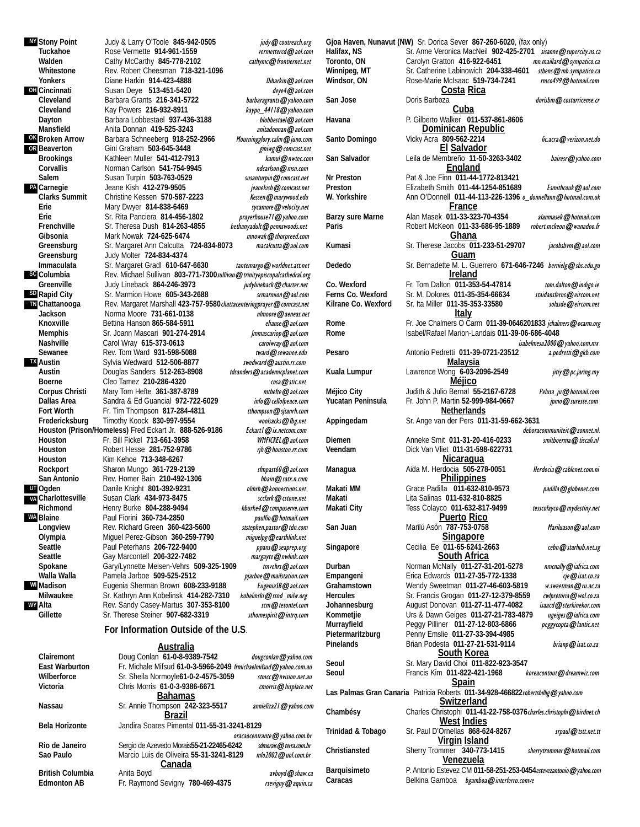**TN** Chattanooga **OH OK** Broken Arrow **OR PA** Carnegie **SD** Rapid City **sc** Columbia **TX UT** Ogden **VA** Charlottesville **WA WI WY NY** Stony Point

**Stony Point** Judy & Larry O'Toole **845-942-0505** judy@coutreach.org Rose Vermette **914-961-1559** vermettercd@aol.com Walden Cathy McCarthy 845-778-2102 cathymc@frontiernet.net **Whitestone** Rev. Robert Cheesman **718-321-1096** Diane Harkin 914-423-4888 Diharkin **@aol.com Cincinnati** Susan Deye **513-451-5420 comparison** Susan Deye **513-451-5420 comparison barbaragrants @yahoo.com Cleveland** Barbara Grants **216-341-5722** barbaragrants@yahoo.com **Cleveland** Kay Powers 216-932-8911 <br>Dayton Barbara Lobbestael 937-436-3188 *kaypo\_44118@yahoo.com* Barbara Lobbestael **937-436-3188 Mansfield** Anita Donnan **419-525-3243** anitadonnan@aol.com **Broken Arrow** Barbara Schneeberg **918-252-2966** Mourningglory.calm@juno.com **Gini Graham 503-645-3448 Brookings** Kathleen Muller **541-412-7913** kamul@nwtec.com Corvallis **Norman Carlson 541-754-9945** ndcarlson@msn.com **Salem** Susan Turpin **503-763-0529** susanturpin@comcast.net **Carnegie** Jeane Kish 412-279-9505<br>Clarks Summit Christine Kessen 570-587 **Clarks Summit** Christine Kessen **570-587-2223** Kessen @marywood.edu<br>Erie Mary Dwyer 814-838-6469 Sycamore @velocity.net **Erie** Mary Dwyer **814-838-6469** sycamore@velocity.net **Erie** Sr. Rita Panciera **814-456-1802**<br>**Frenchville** Sr. Theresa Dush **814-263-4855 Frenchville** Sr. Theresa Dush 814-263-4855 bethanyadult@pennswoods.net<br>
Gibsonia Mark Nowak 724-625-6474 mnowak@thorpreed.com Gibsonia **Mark Nowak 724-625-6474** mnowak@thorpreed.com<br>Greensburg Sr. Margaret Ann Calcutta 724-834-8073 macalcutta@aol.com Sr. Margaret Ann Calcutta **724-834-8073 Greensburg** Judy Molter **724-834-4374 Immaculata** Sr. Margaret Gradl 610-647-6630 tantemargo@worldnet.att.net Columbia **Rev. Michael Sullivan 803-771-7300sullivan @trinityepiscopalcathedral.org**<br>Greenville Judy Lineback 864-246-3973 *judylineback @charter.net* Judy Lineback **864-246-3973** Sr. Marmion Howe 605-343-2688 srmarmion@aol.com **Chattanooga** Rev. Margaret Marshall **423-757-9580**chattacenteringprayer@comcast.net **Jackson** 100 Norma Moore **731-661-0138** https://www.mail.net/2020.net/2020.net/2020.net/2020.net/2020<br>**Knoxville** Bettina Hanson 865-584-5911 Bettina Hanson 865-584-5911 ehanse @aol.com **Memphis** Sr. Joann Mascari 901-274-2914 Jmmascariop @aol.com<br>**Nashville** Carol Wray 615-373-0613 Carolwray @aol.com **Nashville Carol Wray 615-373-0613 Carolwray @aol.com**<br>**Sewanee** Rev. Tom Ward 931-598-5088 **care and @sewanee.edu** Rev. Tom Ward **931-598-5088** Sylvia Wedward 512-506-8877 swedward@austin.rr.com **Austin** Douglas Sanders **512-263-8908** tdsanders@academicplanet.com **Boerne** Cleo Tamez **210-286-4320** cosa @stic.net<br> **Corpus Christi** Mary Tom Hefte 361-387-8789 compus *mthefte* @aol.com Mary Tom Hefte **361-387-8789** mthefte **@aol.com**<br>
Sandra & Ed Guancial 972-722-6029 *info* @cellofpeace.com **Dallas Area** Sandra & Ed Guancial **972-722-6029**<br>**Fort Worth** Fr. Tim Thompson 817-284-4811 **Fr. Tim Thompson 817-284-4811** tthompson @sjtanrh.com **Fredericksburg** Timothy Koock 830-997-9554<br>**Houston (Prison/Homeless)** Fred Eckart Jr. 888-526-9186 *Eckart @ix.netcom.com* Houston (Prison/Homeless) Fred Eckart Jr. 888-526-9186 **Houston** Fr. Bill Fickel **713-661-3958** WMFICKEL@aol.com **Houston** Robert Hesse **281-752-9786**<br>**Houston.** Kim Kehoe 713-348-6267 **Houston** Kim Kehoe **713-348-6267** Rockport Sharon Mungo 361-729-2139 sfmpast60@aol.com **San Antonio** Rev. Homer Bain **210-492-1306** hbain@satx.n.com Danile Knight **801-392-9231** Susan Clark **434-973-8475** scclark @cstone.net Richmond **Henry Burke 804-288-9494** hburke4@compuserve.com Blaine **Paul Fiorini 360-734-2850** paulfio@hotmail.com<br> **Paulfiom Partic Panamic Community** Pev. Richard Green 360-423-5600 *ststephen.pastor@tdn.com* Rev. Richard Green **360-423-5600 Olympia** Miguel Perez-Gibson **360-259-7790** miguelpg@earthlink.net **Seattle** Paul Peterhans **206-722-9400** ppans@seaprep.org **Gay Marcontell 206-322-7482** Spokane Gary/Lynnette Meisen-Vehrs 509-325-1909 tmvehrs@aol.com Walla Walla Pamela Jarboe **509-525-2512** *pjarboe@mailstation.com*<br>Madison Eugenia Sherman Brown 608-233-9188 *Eugeniaß@aol.com* **Madison** Eugenia Sherman Brown **608-233-9188** EugeniaSB@aol.com Sr. Kathryn Ann Kobelinsk **414-282-7310** Rev. Sandy Casey-Martus **307-353-8100** scm @tetontel.com Gillette Sr. Therese Steiner 907-682-3319 sthomespirit@intrq.com **For Information Outside of the U.S**.

#### **Australia**

| Clairemont            | Doug Conlan 61-0-8-9389-7542                                     | dougconlan@yahoo.com           |  |
|-----------------------|------------------------------------------------------------------|--------------------------------|--|
| <b>East Warburton</b> | Fr. Michale Mifsud 61-0-3-5966-2049 frmichaelmifsud@yahoo.com.au |                                |  |
| Wilberforce           | Sr. Sheila Normoyle 61-0-2-4575-3059                             | stmcc@nvision.net.au           |  |
| Victoria              | Chris Morris 61-0-3-9386-6671                                    | cmorris@hisplace.net           |  |
|                       | <b>Bahamas</b>                                                   |                                |  |
| Nassau                | Sr. Annie Thompson 242-323-5517                                  | annieliza21 @ yahoo.com        |  |
|                       | Brazil                                                           |                                |  |
| Bela Horizonte        | Jandira Soares Pimental 011-55-31-3241-8129                      |                                |  |
|                       |                                                                  | oracaocentrante @ yahoo.com.br |  |
| Rio de Janeiro        | Sergio de Azevedo Morais55-21-22465-6242                         | sdmorais@terra.com.br          |  |
| Sao Paulo             | Marcio Luis de Oliveira 55-31-3241-8129                          | mlo2002@uol.com.br             |  |
| Canada                |                                                                  |                                |  |
| British Columbia      | Anita Boyd                                                       | avboyd@shaw.ca                 |  |
| <b>Edmonton AB</b>    | Fr. Raymond Sevigny 780-469-4375                                 | rsevigny@aquin.ca              |  |

**Gjoa Haven, Nunavut (NW)** Sr. Dorica Sever **867-260-6020**, (fax only) Halifax, NS Sr. Anne Veronica MacNeil **902-425-2701** sisanne@supercity.ns.ca<br>Toronto, ON Carolyn Gratton 416-922-6451 mn.maillard@sympatico.ca **Toronto, ON** Carolyn Gratton **416-922-6451**<br>**Winnipeg, MT** Sr. Catherine Labinowich 204-3 Winnipeg, MT Sr. Catherine Labinowich **204-338-4601** stbens@mb.sympatico.ca<br>Windsor, ON Rose-Marie McIsaac 519-734-7241 mrof99@hotmail.com **Rose-Marie McIsaac 519-734-7241 Costa Rica** San Jose **Doris Barboza Doris Barboza** dorishin **@**costarricense.cr **Cuba Havana** P. Gilberto Walker **011-537-861-8606 Dominican Republic** Santo Domingo Vicky Acra 809-562-2214 lic.acra@verizon.net.do **El Salvador San Salvador** Leila de Membreño **11-50-3263-3402** bairesr@yahoo.com **England Nr Preston** Pat & Joe Finn **011-44-1772-813421 Preston** Elizabeth Smith **011-44-1254-851689** Esmithcouk@aol.com **W. Yorkshire** Ann O'Donnell **011-44-113-226-1396** o\_donnellann@hotmail.com.uk **France** Barzy sure Marne Alan Masek 011-33-323-70-4354 alanmasek@hotmail.com Paris **Paris** Robert McKeon 011-33-686-95-1889 robert.mckeon@wanadoo.fr **Ghana Kumasi** Sr. Therese Jacobs **011-233-51-29707** jacobsbvm@aol.com **Guam Dededo** Sr. Bernadette M. L. Guerrero **671-646-7246** bernielg@sbs.edu.gu **Ireland Co. Wexford** Fr. Tom Dalton 011-353-54-47814 *tom.dalton@indigo.ie*<br>
Ferns Co. Wexford Sr. M. Dolores 011-35-354-66634 *staidansferns@eircom.net* **Ferns Co. Wexford** Sr. M. Dolores 011-35-354-66634 *staidansferns@eircom.net*<br>Kilrane Co. Wexford Sr. Ita Miller 011-35-353-33580 *solasde@eircom.net* **Sr. Ita Miller 011-35-353-33580 Italy Rome** Fr. Joe Chalmers O Carm **011-39-0646201833** jchalmers@ocarm.org **Rome** Isabel/Rafael Marion-Landais **011-39-06-686-4048** isabelmesa2000@yahoo.com.mx<br>2 a.pedretti@gkb.com **Pesaro Antonio Pedretti 011-39-0721-23512 Malaysia** Kuala Lumpur Lawrence Wong 6-03-2096-2549 jitiy@pc.jaring.my **Méjico** Méjico City **Guildich & Julio Bernal 55-2167-6728** Pelusa ju@hotmail.com<br>Yucatan Peninsula Fr. John P. Martin 52-999-984-0667 *jpmo@sureste.com* **Yucatan Peninsula** Fr. John P. Martin **52-999-984-0667** jpmo@sureste.com **Netherlands Appingedam** Sr. Ange van der Pers **011-31-59-662-3631** deboracommuniteit@zonnet.nl. **Diemen** Anneke Smit **011-31-20-416-0233** *smitboerma@tiscali.nl* **Veendam** Dick Van Vliet **011-31-598-622731 Nicaragua** Managua **Aida M. Herdocia 505-278-0051** Herdocia@cablenet.com.ni **Philippines Makati MM** Grace Padilla **011-632-810-9573** padilla@globenet.com **Makati** Lita Salinas **011-632-810-8825 Makati City** Tess Colayco **011-632-817-9499** tesscolayco@mydestiny.net **Puerto Rico** San Juan **Marilú Asón 787-753-0758** Mariluason @aol.com **Singapore** Singapore **Cecilia Ee 011-65-6241-2663** cebn@starhub.net.sg **South Africa Durban Norman McNally 011-27-31-201-5278** *nmcnally@iafrica.com*<br>**Empangeni** Erica Edwards 011-27-35-772-1338 *ge@isat.co.za* Empangeni **Erica Edwards 011-27-35-772-1338** *ge@isat.co.za*<br>Grahamstown Wendy Sweetman 011-27-46-603-5819 *w.sweetman@ru.ac.za* Wendy Sweetman **011-27-46-603-5819** Hercules **Sr. Francis Grogan 011-27-12-379-8559** cwlpretoria@wol.co.za Johannesburg **August Donovan 011-27-11-477-4082** isaacd@sterkinekor.com<br>**Kommetjie** Urs & Dawn Geiges 011-27-21-783-4879 ugeiges@iafrica.com **Kommetjie** Urs & Dawn Geiges **011-27-21-783-4879** ugeiges@iafrica.com **Murrayfield** Peggy Pilliner **011-27-12-803-6866**<br>Pietermaritzburg Penny Emslie 011-27-33-394-4985 **Pietermaritzburg** Penny Emslie **011-27-33-394-4985**  Pinelands **Brian Podesta 011-27-21-531-9114** brianp@isat.co.za **South Korea Seoul** Sr. Mary David Choi **011-822-923-3547**  Seoul **Francis Kim 011-822-421-1968** koreacontout@dreamwiz.com **Spain Las Palmas Gran Canaria** Patricia Roberts **011-34-928-466822**robertsbillig@yahoo.com **Switzerland Chambésy** Charles Christophi **011-41-22-758-0376**charles.christophi@birdnet.ch **West Indies Trinidad & Tobago** Sr. Paul D'Ornellas **868-624-8267** srpaul@tstt.net.tt **Virgin Island Christiansted** Sherry Trommer **340-773-1415** sherrytrommer@hotmail.com **Venezuela Barquisimeto** P. Antonio Estevez CM **011-58-251-253-0454**estevezantonio@yahoo.com Caracas **Belkina Gamboa** bgamboa **@interferro.comve**